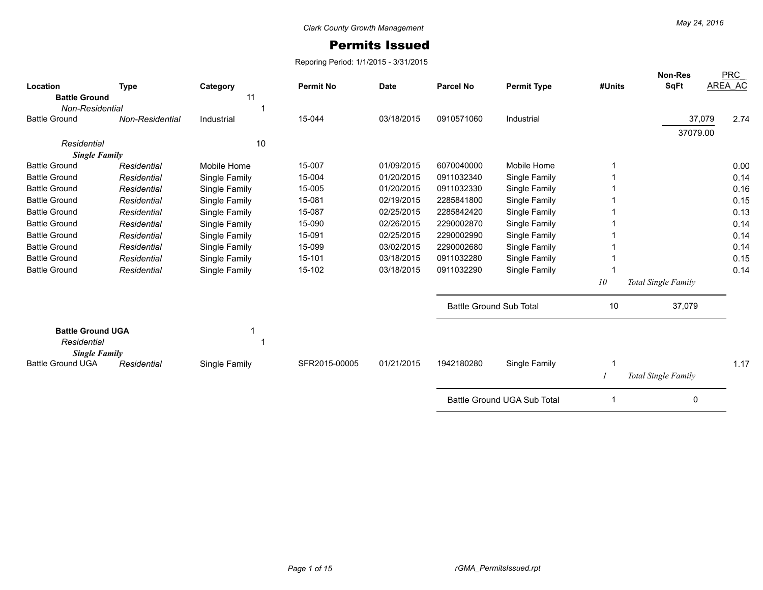## Permits Issued

Reporing Period: 1/1/2015 - 3/31/2015

| Location                                                        |                 |                | <b>Permit No</b> | <b>Date</b> | <b>Parcel No</b>               | <b>Permit Type</b>          | #Units | <b>Non-Res</b><br>SqFt | <b>PRC</b><br>AREA AC |
|-----------------------------------------------------------------|-----------------|----------------|------------------|-------------|--------------------------------|-----------------------------|--------|------------------------|-----------------------|
| <b>Battle Ground</b>                                            | <b>Type</b>     | Category<br>11 |                  |             |                                |                             |        |                        |                       |
| <b>Non-Residential</b>                                          |                 |                |                  |             |                                |                             |        |                        |                       |
| <b>Battle Ground</b>                                            | Non-Residential | Industrial     | 15-044           | 03/18/2015  | 0910571060                     | Industrial                  |        | 37,079                 | 2.74                  |
|                                                                 |                 |                |                  |             |                                |                             |        | 37079.00               |                       |
| Residential                                                     |                 | 10             |                  |             |                                |                             |        |                        |                       |
| <b>Single Family</b>                                            |                 |                |                  |             |                                |                             |        |                        |                       |
| <b>Battle Ground</b>                                            | Residential     | Mobile Home    | 15-007           | 01/09/2015  | 6070040000                     | Mobile Home                 |        |                        | 0.00                  |
| <b>Battle Ground</b>                                            | Residential     | Single Family  | 15-004           | 01/20/2015  | 0911032340                     | Single Family               |        |                        | 0.14                  |
| <b>Battle Ground</b>                                            | Residential     | Single Family  | 15-005           | 01/20/2015  | 0911032330                     | Single Family               |        |                        | 0.16                  |
| <b>Battle Ground</b>                                            | Residential     | Single Family  | 15-081           | 02/19/2015  | 2285841800                     | Single Family               |        |                        | 0.15                  |
| <b>Battle Ground</b>                                            | Residential     | Single Family  | 15-087           | 02/25/2015  | 2285842420                     | Single Family               |        |                        | 0.13                  |
| <b>Battle Ground</b>                                            | Residential     | Single Family  | 15-090           | 02/26/2015  | 2290002870                     | Single Family               |        |                        | 0.14                  |
| <b>Battle Ground</b>                                            | Residential     | Single Family  | 15-091           | 02/25/2015  | 2290002990                     | Single Family               |        |                        | 0.14                  |
| <b>Battle Ground</b>                                            | Residential     | Single Family  | 15-099           | 03/02/2015  | 2290002680                     | Single Family               |        |                        | 0.14                  |
| <b>Battle Ground</b>                                            | Residential     | Single Family  | 15-101           | 03/18/2015  | 0911032280                     | Single Family               |        |                        | 0.15                  |
| <b>Battle Ground</b>                                            | Residential     | Single Family  | 15-102           | 03/18/2015  | 0911032290                     | Single Family               |        |                        | 0.14                  |
|                                                                 |                 |                |                  |             |                                |                             | 10     | Total Single Family    |                       |
|                                                                 |                 |                |                  |             | <b>Battle Ground Sub Total</b> |                             | 10     | 37,079                 |                       |
| <b>Battle Ground UGA</b><br>Residential<br><b>Single Family</b> |                 |                |                  |             |                                |                             |        |                        |                       |
| <b>Battle Ground UGA</b>                                        | Residential     | Single Family  | SFR2015-00005    | 01/21/2015  | 1942180280                     | Single Family               | -1     |                        | 1.17                  |
|                                                                 |                 |                |                  |             |                                |                             |        | Total Single Family    |                       |
|                                                                 |                 |                |                  |             |                                | Battle Ground UGA Sub Total |        | 0                      |                       |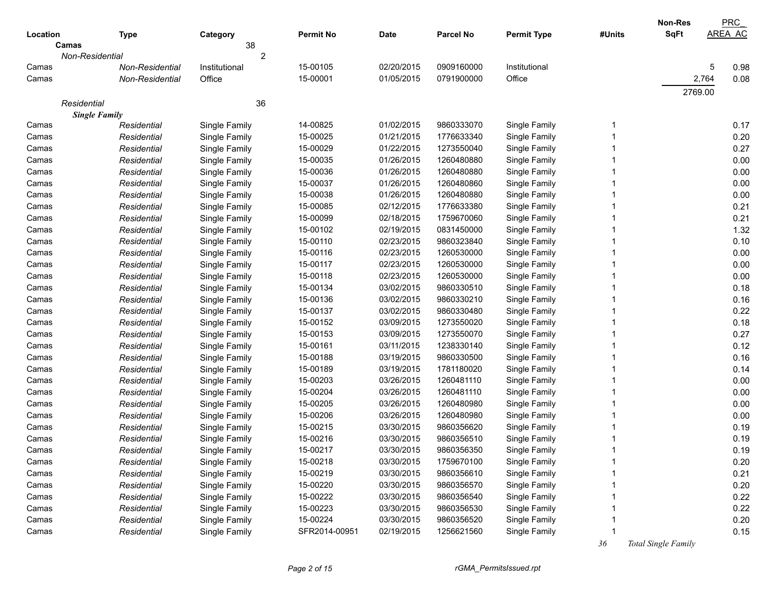|             |                        |                |                  |             |            |                    |        | Non-Res             | PRC            |
|-------------|------------------------|----------------|------------------|-------------|------------|--------------------|--------|---------------------|----------------|
| Location    | <b>Type</b>            | Category       | <b>Permit No</b> | <b>Date</b> | Parcel No  | <b>Permit Type</b> | #Units | <b>SqFt</b>         | <b>AREA AC</b> |
| Camas       |                        | 38             |                  |             |            |                    |        |                     |                |
|             | Non-Residential        | $\overline{c}$ |                  |             |            |                    |        |                     |                |
| Camas       | <b>Non-Residential</b> | Institutional  | 15-00105         | 02/20/2015  | 0909160000 | Institutional      |        |                     | 0.98<br>5      |
| Camas       | Non-Residential        | Office         | 15-00001         | 01/05/2015  | 0791900000 | Office             |        |                     | 2,764<br>0.08  |
|             |                        |                |                  |             |            |                    |        | 2769.00             |                |
| Residential |                        | 36             |                  |             |            |                    |        |                     |                |
|             | <b>Single Family</b>   |                |                  |             |            |                    |        |                     |                |
| Camas       | Residential            | Single Family  | 14-00825         | 01/02/2015  | 9860333070 | Single Family      | 1      |                     | 0.17           |
| Camas       | Residential            | Single Family  | 15-00025         | 01/21/2015  | 1776633340 | Single Family      |        |                     | 0.20           |
| Camas       | Residential            | Single Family  | 15-00029         | 01/22/2015  | 1273550040 | Single Family      |        |                     | 0.27           |
| Camas       | Residential            | Single Family  | 15-00035         | 01/26/2015  | 1260480880 | Single Family      |        |                     | 0.00           |
| Camas       | Residential            | Single Family  | 15-00036         | 01/26/2015  | 1260480880 | Single Family      |        |                     | 0.00           |
| Camas       | Residential            | Single Family  | 15-00037         | 01/26/2015  | 1260480860 | Single Family      |        |                     | 0.00           |
| Camas       | Residential            | Single Family  | 15-00038         | 01/26/2015  | 1260480880 | Single Family      |        |                     | 0.00           |
| Camas       | Residential            | Single Family  | 15-00085         | 02/12/2015  | 1776633380 | Single Family      |        |                     | 0.21           |
| Camas       | Residential            | Single Family  | 15-00099         | 02/18/2015  | 1759670060 | Single Family      |        |                     | 0.21           |
| Camas       | Residential            | Single Family  | 15-00102         | 02/19/2015  | 0831450000 | Single Family      |        |                     | 1.32           |
| Camas       | Residential            | Single Family  | 15-00110         | 02/23/2015  | 9860323840 | Single Family      |        |                     | 0.10           |
| Camas       | Residential            | Single Family  | 15-00116         | 02/23/2015  | 1260530000 | Single Family      |        |                     | 0.00           |
| Camas       | Residential            | Single Family  | 15-00117         | 02/23/2015  | 1260530000 | Single Family      |        |                     | 0.00           |
| Camas       | Residential            | Single Family  | 15-00118         | 02/23/2015  | 1260530000 | Single Family      |        |                     | 0.00           |
| Camas       | Residential            | Single Family  | 15-00134         | 03/02/2015  | 9860330510 | Single Family      |        |                     | 0.18           |
| Camas       | Residential            | Single Family  | 15-00136         | 03/02/2015  | 9860330210 | Single Family      |        |                     | 0.16           |
| Camas       | Residential            | Single Family  | 15-00137         | 03/02/2015  | 9860330480 | Single Family      |        |                     | 0.22           |
| Camas       | Residential            | Single Family  | 15-00152         | 03/09/2015  | 1273550020 | Single Family      |        |                     | 0.18           |
| Camas       | Residential            | Single Family  | 15-00153         | 03/09/2015  | 1273550070 | Single Family      |        |                     | 0.27           |
| Camas       | Residential            | Single Family  | 15-00161         | 03/11/2015  | 1238330140 | Single Family      |        |                     | 0.12           |
| Camas       | Residential            | Single Family  | 15-00188         | 03/19/2015  | 9860330500 | Single Family      |        |                     | 0.16           |
| Camas       | Residential            | Single Family  | 15-00189         | 03/19/2015  | 1781180020 | Single Family      |        |                     | 0.14           |
| Camas       | Residential            | Single Family  | 15-00203         | 03/26/2015  | 1260481110 | Single Family      |        |                     | 0.00           |
| Camas       | Residential            | Single Family  | 15-00204         | 03/26/2015  | 1260481110 | Single Family      |        |                     | 0.00           |
| Camas       | Residential            | Single Family  | 15-00205         | 03/26/2015  | 1260480980 | Single Family      |        |                     | 0.00           |
| Camas       | Residential            | Single Family  | 15-00206         | 03/26/2015  | 1260480980 | Single Family      |        |                     | 0.00           |
| Camas       | Residential            | Single Family  | 15-00215         | 03/30/2015  | 9860356620 | Single Family      |        |                     | 0.19           |
| Camas       | Residential            | Single Family  | 15-00216         | 03/30/2015  | 9860356510 | Single Family      |        |                     | 0.19           |
| Camas       | Residential            | Single Family  | 15-00217         | 03/30/2015  | 9860356350 | Single Family      |        |                     | 0.19           |
| Camas       | Residential            | Single Family  | 15-00218         | 03/30/2015  | 1759670100 | Single Family      |        |                     | 0.20           |
| Camas       | Residential            | Single Family  | 15-00219         | 03/30/2015  | 9860356610 | Single Family      |        |                     | 0.21           |
| Camas       | Residential            | Single Family  | 15-00220         | 03/30/2015  | 9860356570 | Single Family      |        |                     | 0.20           |
| Camas       | Residential            | Single Family  | 15-00222         | 03/30/2015  | 9860356540 | Single Family      |        |                     | 0.22           |
| Camas       | Residential            | Single Family  | 15-00223         | 03/30/2015  | 9860356530 | Single Family      |        |                     | 0.22           |
| Camas       | Residential            | Single Family  | 15-00224         | 03/30/2015  | 9860356520 | Single Family      |        |                     | 0.20           |
| Camas       | Residential            | Single Family  | SFR2014-00951    | 02/19/2015  | 1256621560 | Single Family      |        |                     | 0.15           |
|             |                        |                |                  |             |            |                    | 36     | Total Single Family |                |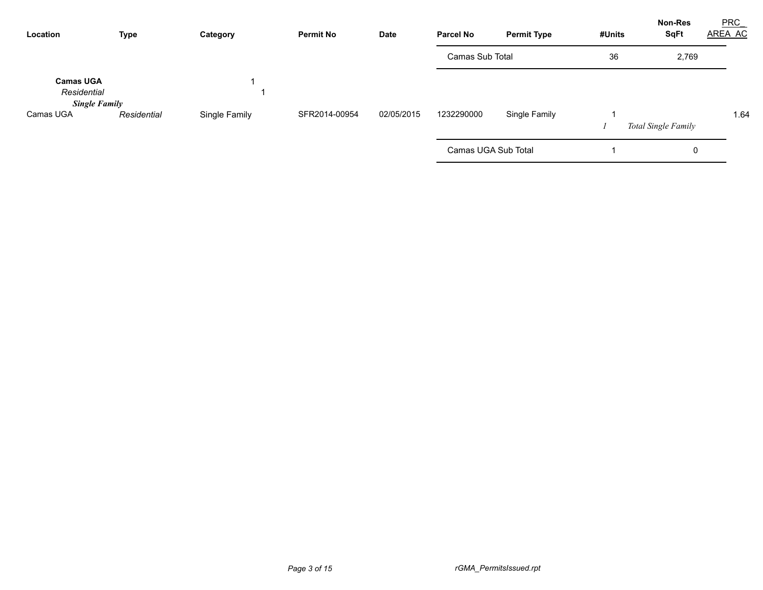| <b>Type</b><br>Location                                 |             | <b>Permit No</b><br>Category |               | <b>Date</b> | <b>Parcel No</b>    | <b>Permit Type</b> | #Units | <b>Non-Res</b><br><b>SqFt</b> | <b>PRC</b><br>AREA AC |
|---------------------------------------------------------|-------------|------------------------------|---------------|-------------|---------------------|--------------------|--------|-------------------------------|-----------------------|
|                                                         |             |                              |               |             | Camas Sub Total     |                    | 36     | 2,769                         |                       |
| <b>Camas UGA</b><br>Residential<br><b>Single Family</b> |             |                              |               |             |                     |                    |        |                               |                       |
| Camas UGA                                               | Residential | Single Family                | SFR2014-00954 | 02/05/2015  | 1232290000          | Single Family      |        | Total Single Family           | 1.64                  |
|                                                         |             |                              |               |             | Camas UGA Sub Total |                    |        | 0                             |                       |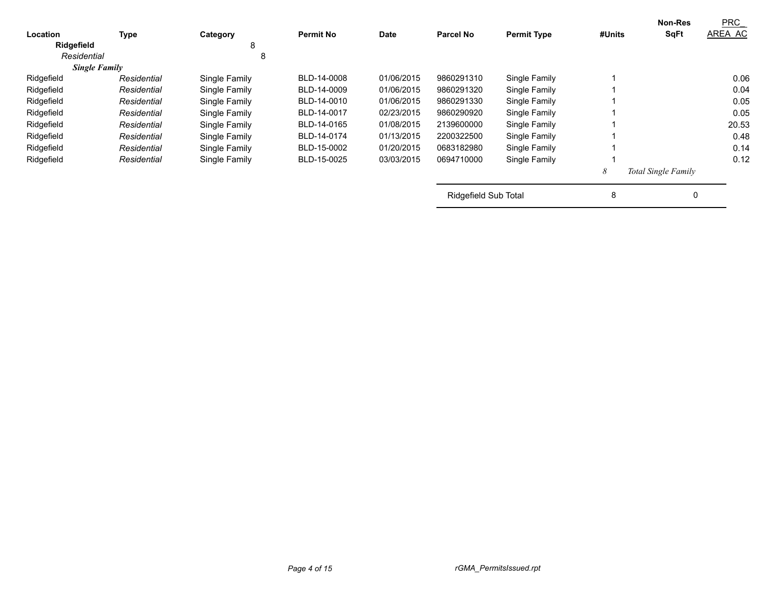| Location    | <b>Type</b>          | Category      | <b>Permit No</b> | Date       | <b>Parcel No</b>            | <b>Permit Type</b> | #Units | <b>Non-Res</b><br><b>SqFt</b> | PRC<br>AREA AC |
|-------------|----------------------|---------------|------------------|------------|-----------------------------|--------------------|--------|-------------------------------|----------------|
| Ridgefield  |                      | 8             |                  |            |                             |                    |        |                               |                |
| Residential |                      | 8             |                  |            |                             |                    |        |                               |                |
|             | <b>Single Family</b> |               |                  |            |                             |                    |        |                               |                |
| Ridgefield  | Residential          | Single Family | BLD-14-0008      | 01/06/2015 | 9860291310                  | Single Family      |        |                               | 0.06           |
| Ridgefield  | Residential          | Single Family | BLD-14-0009      | 01/06/2015 | 9860291320                  | Single Family      |        |                               | 0.04           |
| Ridgefield  | Residential          | Single Family | BLD-14-0010      | 01/06/2015 | 9860291330                  | Single Family      |        |                               | 0.05           |
| Ridgefield  | Residential          | Single Family | BLD-14-0017      | 02/23/2015 | 9860290920                  | Single Family      |        |                               | 0.05           |
| Ridgefield  | Residential          | Single Family | BLD-14-0165      | 01/08/2015 | 2139600000                  | Single Family      |        |                               | 20.53          |
| Ridgefield  | Residential          | Single Family | BLD-14-0174      | 01/13/2015 | 2200322500                  | Single Family      |        |                               | 0.48           |
| Ridgefield  | Residential          | Single Family | BLD-15-0002      | 01/20/2015 | 0683182980                  | Single Family      |        |                               | 0.14           |
| Ridgefield  | Residential          | Single Family | BLD-15-0025      | 03/03/2015 | 0694710000                  | Single Family      |        |                               | 0.12           |
|             |                      |               |                  |            |                             |                    | 8      | Total Single Family           |                |
|             |                      |               |                  |            | <b>Ridgefield Sub Total</b> |                    | 8      | 0                             |                |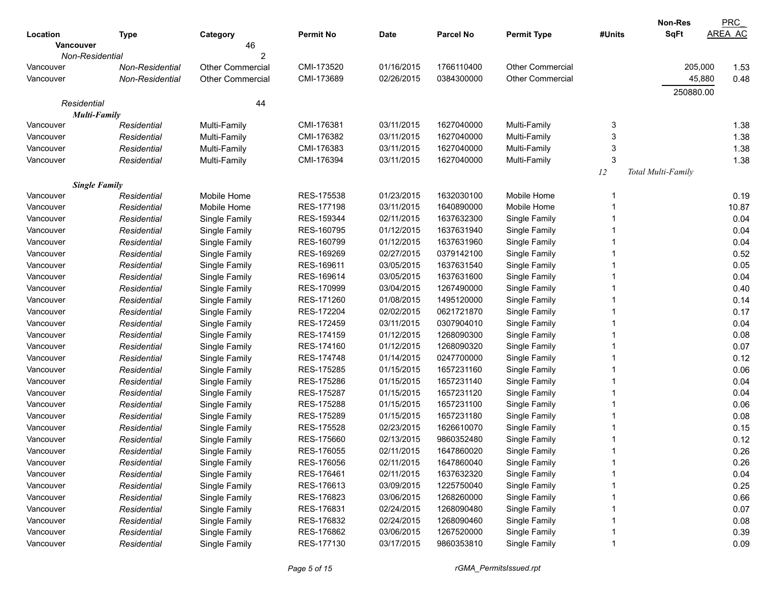|                      |                 |                         |                  |             |                  |                         |        | Non-Res            | <b>PRC</b>     |
|----------------------|-----------------|-------------------------|------------------|-------------|------------------|-------------------------|--------|--------------------|----------------|
| Location             | <b>Type</b>     | Category                | <b>Permit No</b> | <b>Date</b> | <b>Parcel No</b> | <b>Permit Type</b>      | #Units | <b>SqFt</b>        | <b>AREA AC</b> |
| <b>Vancouver</b>     |                 | 46                      |                  |             |                  |                         |        |                    |                |
| Non-Residential      |                 |                         |                  |             |                  |                         |        |                    |                |
| Vancouver            | Non-Residential | <b>Other Commercial</b> | CMI-173520       | 01/16/2015  | 1766110400       | <b>Other Commercial</b> |        | 205,000            | 1.53           |
| Vancouver            | Non-Residential | <b>Other Commercial</b> | CMI-173689       | 02/26/2015  | 0384300000       | <b>Other Commercial</b> |        | 45,880             | 0.48           |
|                      |                 |                         |                  |             |                  |                         |        | 250880.00          |                |
| Residential          |                 | 44                      |                  |             |                  |                         |        |                    |                |
| <b>Multi-Family</b>  |                 |                         |                  |             |                  |                         |        |                    |                |
| Vancouver            | Residential     | Multi-Family            | CMI-176381       | 03/11/2015  | 1627040000       | Multi-Family            | 3      |                    | 1.38           |
| Vancouver            | Residential     | Multi-Family            | CMI-176382       | 03/11/2015  | 1627040000       | Multi-Family            | 3      |                    | 1.38           |
| Vancouver            | Residential     | Multi-Family            | CMI-176383       | 03/11/2015  | 1627040000       | Multi-Family            | 3      |                    | 1.38           |
| Vancouver            | Residential     | Multi-Family            | CMI-176394       | 03/11/2015  | 1627040000       | Multi-Family            | 3      |                    | 1.38           |
|                      |                 |                         |                  |             |                  |                         | 12     | Total Multi-Family |                |
| <b>Single Family</b> |                 |                         |                  |             |                  |                         |        |                    |                |
| Vancouver            | Residential     | Mobile Home             | RES-175538       | 01/23/2015  | 1632030100       | Mobile Home             | -1     |                    | 0.19           |
| Vancouver            | Residential     | Mobile Home             | RES-177198       | 03/11/2015  | 1640890000       | Mobile Home             |        |                    | 10.87          |
| Vancouver            | Residential     | Single Family           | RES-159344       | 02/11/2015  | 1637632300       | Single Family           |        |                    | 0.04           |
| Vancouver            | Residential     | Single Family           | RES-160795       | 01/12/2015  | 1637631940       | Single Family           | 1      |                    | 0.04           |
| Vancouver            | Residential     | Single Family           | RES-160799       | 01/12/2015  | 1637631960       | Single Family           |        |                    | 0.04           |
| Vancouver            | Residential     | Single Family           | RES-169269       | 02/27/2015  | 0379142100       | Single Family           |        |                    | 0.52           |
| Vancouver            | Residential     | Single Family           | RES-169611       | 03/05/2015  | 1637631540       | Single Family           |        |                    | 0.05           |
| Vancouver            | Residential     | Single Family           | RES-169614       | 03/05/2015  | 1637631600       | Single Family           |        |                    | 0.04           |
| Vancouver            | Residential     | Single Family           | RES-170999       | 03/04/2015  | 1267490000       | Single Family           |        |                    | 0.40           |
| Vancouver            | Residential     | Single Family           | RES-171260       | 01/08/2015  | 1495120000       | Single Family           |        |                    | 0.14           |
| Vancouver            | Residential     | Single Family           | RES-172204       | 02/02/2015  | 0621721870       | Single Family           |        |                    | 0.17           |
| Vancouver            | Residential     | Single Family           | RES-172459       | 03/11/2015  | 0307904010       | Single Family           |        |                    | 0.04           |
| Vancouver            | Residential     | Single Family           | RES-174159       | 01/12/2015  | 1268090300       | Single Family           |        |                    | 0.08           |
| Vancouver            | Residential     | Single Family           | RES-174160       | 01/12/2015  | 1268090320       | Single Family           |        |                    | 0.07           |
| Vancouver            | Residential     | Single Family           | RES-174748       | 01/14/2015  | 0247700000       | Single Family           |        |                    | 0.12           |
| Vancouver            | Residential     | Single Family           | RES-175285       | 01/15/2015  | 1657231160       | Single Family           |        |                    | 0.06           |
| Vancouver            | Residential     | Single Family           | RES-175286       | 01/15/2015  | 1657231140       | Single Family           |        |                    | 0.04           |
| Vancouver            | Residential     | Single Family           | RES-175287       | 01/15/2015  | 1657231120       | Single Family           |        |                    | 0.04           |
| Vancouver            | Residential     | Single Family           | RES-175288       | 01/15/2015  | 1657231100       | Single Family           |        |                    | 0.06           |
| Vancouver            | Residential     | Single Family           | RES-175289       | 01/15/2015  | 1657231180       | Single Family           |        |                    | 0.08           |
| Vancouver            | Residential     | Single Family           | RES-175528       | 02/23/2015  | 1626610070       | Single Family           |        |                    | 0.15           |
| Vancouver            | Residential     | Single Family           | RES-175660       | 02/13/2015  | 9860352480       | Single Family           |        |                    | 0.12           |
| Vancouver            | Residential     | Single Family           | RES-176055       | 02/11/2015  | 1647860020       | Single Family           |        |                    | 0.26           |
| Vancouver            | Residential     | Single Family           | RES-176056       | 02/11/2015  | 1647860040       | Single Family           |        |                    | 0.26           |
| Vancouver            | Residential     | Single Family           | RES-176461       | 02/11/2015  | 1637632320       | Single Family           |        |                    | 0.04           |
| Vancouver            | Residential     | Single Family           | RES-176613       | 03/09/2015  | 1225750040       | Single Family           |        |                    | 0.25           |
| Vancouver            | Residential     | Single Family           | RES-176823       | 03/06/2015  | 1268260000       | Single Family           |        |                    | 0.66           |
| Vancouver            | Residential     | Single Family           | RES-176831       | 02/24/2015  | 1268090480       | Single Family           |        |                    | 0.07           |
| Vancouver            | Residential     | Single Family           | RES-176832       | 02/24/2015  | 1268090460       | Single Family           |        |                    | 0.08           |
| Vancouver            | Residential     | Single Family           | RES-176862       | 03/06/2015  | 1267520000       | Single Family           |        |                    | 0.39           |
| Vancouver            | Residential     | Single Family           | RES-177130       | 03/17/2015  | 9860353810       | Single Family           |        |                    | 0.09           |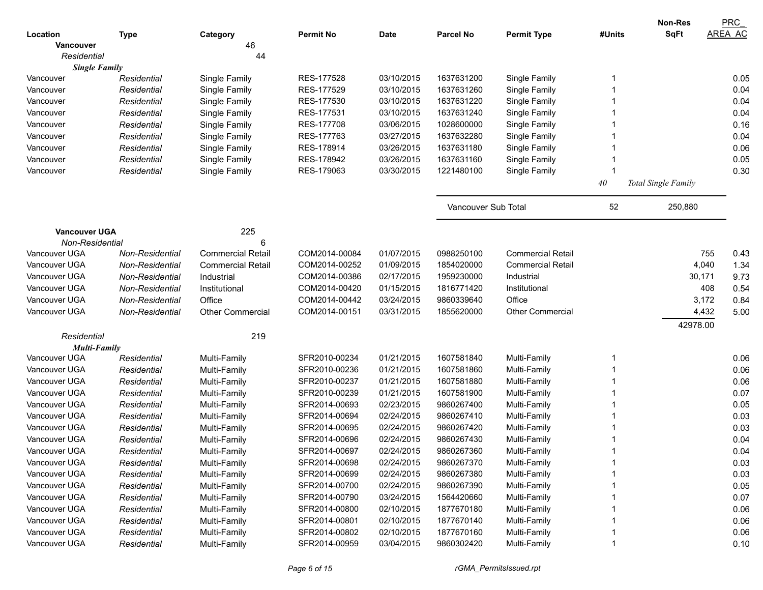|                      |                 |                          |                  |             |                     |                          |           | Non-Res             | <b>PRC</b>     |
|----------------------|-----------------|--------------------------|------------------|-------------|---------------------|--------------------------|-----------|---------------------|----------------|
| Location             | <b>Type</b>     | Category                 | <b>Permit No</b> | <b>Date</b> | <b>Parcel No</b>    | <b>Permit Type</b>       | #Units    | <b>SqFt</b>         | <b>AREA AC</b> |
| <b>Vancouver</b>     |                 | 46                       |                  |             |                     |                          |           |                     |                |
| Residential          |                 | 44                       |                  |             |                     |                          |           |                     |                |
| <b>Single Family</b> |                 |                          |                  |             |                     |                          |           |                     |                |
| Vancouver            | Residential     | Single Family            | RES-177528       | 03/10/2015  | 1637631200          | Single Family            |           |                     | 0.05           |
| Vancouver            | Residential     | Single Family            | RES-177529       | 03/10/2015  | 1637631260          | Single Family            |           |                     | 0.04           |
| Vancouver            | Residential     | Single Family            | RES-177530       | 03/10/2015  | 1637631220          | Single Family            |           |                     | 0.04           |
| Vancouver            | Residential     | Single Family            | RES-177531       | 03/10/2015  | 1637631240          | Single Family            |           |                     | 0.04           |
| Vancouver            | Residential     | Single Family            | RES-177708       | 03/06/2015  | 1028600000          | Single Family            |           |                     | 0.16           |
| Vancouver            | Residential     | Single Family            | RES-177763       | 03/27/2015  | 1637632280          | Single Family            |           |                     | 0.04           |
| Vancouver            | Residential     | Single Family            | RES-178914       | 03/26/2015  | 1637631180          | Single Family            |           |                     | 0.06           |
| Vancouver            | Residential     | Single Family            | RES-178942       | 03/26/2015  | 1637631160          | Single Family            |           |                     | 0.05           |
| Vancouver            | Residential     | Single Family            | RES-179063       | 03/30/2015  | 1221480100          | Single Family            |           |                     | 0.30           |
|                      |                 |                          |                  |             |                     |                          | $4\theta$ | Total Single Family |                |
|                      |                 |                          |                  |             | Vancouver Sub Total |                          | 52        | 250,880             |                |
| <b>Vancouver UGA</b> |                 | 225                      |                  |             |                     |                          |           |                     |                |
| Non-Residential      |                 | 6                        |                  |             |                     |                          |           |                     |                |
| Vancouver UGA        | Non-Residential | <b>Commercial Retail</b> | COM2014-00084    | 01/07/2015  | 0988250100          | <b>Commercial Retail</b> |           |                     | 755<br>0.43    |
| Vancouver UGA        | Non-Residential | <b>Commercial Retail</b> | COM2014-00252    | 01/09/2015  | 1854020000          | <b>Commercial Retail</b> |           |                     | 4,040<br>1.34  |
| Vancouver UGA        | Non-Residential | Industrial               | COM2014-00386    | 02/17/2015  | 1959230000          | Industrial               |           |                     | 30,171<br>9.73 |
| Vancouver UGA        | Non-Residential | Institutional            | COM2014-00420    | 01/15/2015  | 1816771420          | Institutional            |           |                     | 408<br>0.54    |
| Vancouver UGA        | Non-Residential | Office                   | COM2014-00442    | 03/24/2015  | 9860339640          | Office                   |           |                     | 3,172<br>0.84  |
| Vancouver UGA        | Non-Residential | <b>Other Commercial</b>  | COM2014-00151    | 03/31/2015  | 1855620000          | <b>Other Commercial</b>  |           |                     | 4,432<br>5.00  |
|                      |                 |                          |                  |             |                     |                          |           | 42978.00            |                |
| Residential          |                 | 219                      |                  |             |                     |                          |           |                     |                |
| <b>Multi-Family</b>  |                 |                          |                  |             |                     |                          |           |                     |                |
| Vancouver UGA        | Residential     | Multi-Family             | SFR2010-00234    | 01/21/2015  | 1607581840          | Multi-Family             |           |                     | 0.06           |
| Vancouver UGA        | Residential     | Multi-Family             | SFR2010-00236    | 01/21/2015  | 1607581860          | Multi-Family             |           |                     | 0.06           |
| Vancouver UGA        | Residential     | Multi-Family             | SFR2010-00237    | 01/21/2015  | 1607581880          | Multi-Family             |           |                     | 0.06           |
| Vancouver UGA        | Residential     | Multi-Family             | SFR2010-00239    | 01/21/2015  | 1607581900          | Multi-Family             |           |                     | 0.07           |
| Vancouver UGA        | Residential     | Multi-Family             | SFR2014-00693    | 02/23/2015  | 9860267400          | Multi-Family             |           |                     | 0.05           |
| Vancouver UGA        | Residential     | Multi-Family             | SFR2014-00694    | 02/24/2015  | 9860267410          | Multi-Family             |           |                     | 0.03           |
| Vancouver UGA        | Residential     | Multi-Family             | SFR2014-00695    | 02/24/2015  | 9860267420          | Multi-Family             |           |                     | 0.03           |
| Vancouver UGA        | Residential     | Multi-Family             | SFR2014-00696    | 02/24/2015  | 9860267430          | Multi-Family             |           |                     | 0.04           |
| Vancouver UGA        | Residential     | Multi-Family             | SFR2014-00697    | 02/24/2015  | 9860267360          | Multi-Family             |           |                     | 0.04           |
| Vancouver UGA        | Residential     | Multi-Family             | SFR2014-00698    | 02/24/2015  | 9860267370          | Multi-Family             |           |                     | 0.03           |
| Vancouver UGA        | Residential     | Multi-Family             | SFR2014-00699    | 02/24/2015  | 9860267380          | Multi-Family             |           |                     | 0.03           |
| Vancouver UGA        | Residential     | Multi-Family             | SFR2014-00700    | 02/24/2015  | 9860267390          | Multi-Family             |           |                     | 0.05           |
| Vancouver UGA        | Residential     | Multi-Family             | SFR2014-00790    | 03/24/2015  | 1564420660          | Multi-Family             |           |                     | 0.07           |
| Vancouver UGA        | Residential     | Multi-Family             | SFR2014-00800    | 02/10/2015  | 1877670180          | Multi-Family             |           |                     | 0.06           |
| Vancouver UGA        | Residential     | Multi-Family             | SFR2014-00801    | 02/10/2015  | 1877670140          | Multi-Family             |           |                     | 0.06           |
| Vancouver UGA        | Residential     | Multi-Family             | SFR2014-00802    | 02/10/2015  | 1877670160          | Multi-Family             |           |                     | 0.06           |
| Vancouver UGA        | Residential     | Multi-Family             | SFR2014-00959    | 03/04/2015  | 9860302420          | Multi-Family             |           |                     | 0.10           |
|                      |                 |                          |                  |             |                     |                          |           |                     |                |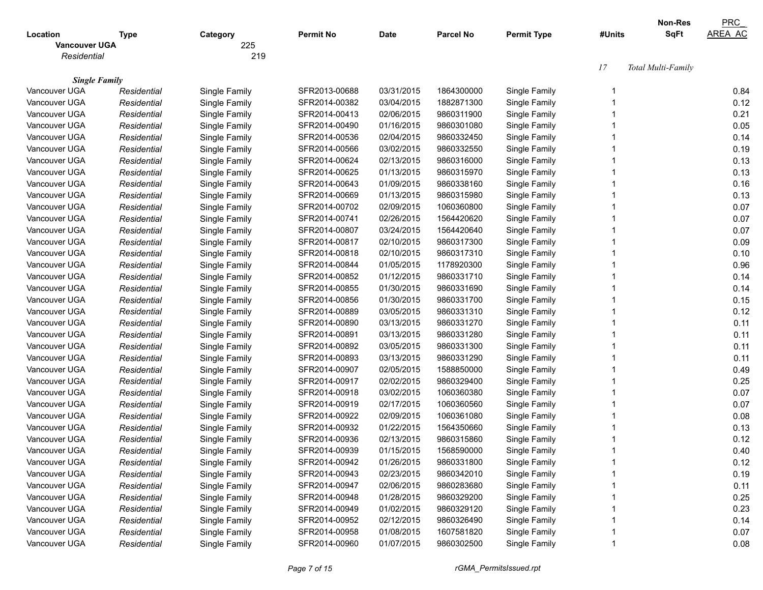|                      |             |               |                  |             |                  |                    |        | <b>Non-Res</b>     | <b>PRC</b>     |
|----------------------|-------------|---------------|------------------|-------------|------------------|--------------------|--------|--------------------|----------------|
| Location             | Type        | Category      | <b>Permit No</b> | <b>Date</b> | <b>Parcel No</b> | <b>Permit Type</b> | #Units | SqFt               | <b>AREA AC</b> |
| <b>Vancouver UGA</b> |             | 225           |                  |             |                  |                    |        |                    |                |
| Residential          |             | 219           |                  |             |                  |                    |        |                    |                |
|                      |             |               |                  |             |                  |                    | 17     | Total Multi-Family |                |
| <b>Single Family</b> |             |               |                  |             |                  |                    |        |                    |                |
| Vancouver UGA        | Residential | Single Family | SFR2013-00688    | 03/31/2015  | 1864300000       | Single Family      |        |                    | 0.84           |
| Vancouver UGA        | Residential | Single Family | SFR2014-00382    | 03/04/2015  | 1882871300       | Single Family      |        |                    | 0.12           |
| Vancouver UGA        | Residential | Single Family | SFR2014-00413    | 02/06/2015  | 9860311900       | Single Family      |        |                    | 0.21           |
| Vancouver UGA        | Residential | Single Family | SFR2014-00490    | 01/16/2015  | 9860301080       | Single Family      |        |                    | 0.05           |
| Vancouver UGA        | Residential | Single Family | SFR2014-00536    | 02/04/2015  | 9860332450       | Single Family      |        |                    | 0.14           |
| Vancouver UGA        | Residential | Single Family | SFR2014-00566    | 03/02/2015  | 9860332550       | Single Family      |        |                    | 0.19           |
| Vancouver UGA        | Residential | Single Family | SFR2014-00624    | 02/13/2015  | 9860316000       | Single Family      |        |                    | 0.13           |
| Vancouver UGA        | Residential | Single Family | SFR2014-00625    | 01/13/2015  | 9860315970       | Single Family      |        |                    | 0.13           |
| Vancouver UGA        | Residential | Single Family | SFR2014-00643    | 01/09/2015  | 9860338160       | Single Family      |        |                    | 0.16           |
| Vancouver UGA        | Residential | Single Family | SFR2014-00669    | 01/13/2015  | 9860315980       | Single Family      |        |                    | 0.13           |
| Vancouver UGA        | Residential | Single Family | SFR2014-00702    | 02/09/2015  | 1060360800       | Single Family      |        |                    | 0.07           |
| Vancouver UGA        | Residential | Single Family | SFR2014-00741    | 02/26/2015  | 1564420620       | Single Family      |        |                    | 0.07           |
| Vancouver UGA        | Residential | Single Family | SFR2014-00807    | 03/24/2015  | 1564420640       | Single Family      |        |                    | 0.07           |
| Vancouver UGA        | Residential | Single Family | SFR2014-00817    | 02/10/2015  | 9860317300       | Single Family      |        |                    | 0.09           |
| Vancouver UGA        | Residential | Single Family | SFR2014-00818    | 02/10/2015  | 9860317310       | Single Family      |        |                    | 0.10           |
| Vancouver UGA        | Residential | Single Family | SFR2014-00844    | 01/05/2015  | 1178920300       | Single Family      |        |                    | 0.96           |
| Vancouver UGA        | Residential | Single Family | SFR2014-00852    | 01/12/2015  | 9860331710       | Single Family      |        |                    | 0.14           |
| Vancouver UGA        | Residential | Single Family | SFR2014-00855    | 01/30/2015  | 9860331690       | Single Family      |        |                    | 0.14           |
| Vancouver UGA        | Residential | Single Family | SFR2014-00856    | 01/30/2015  | 9860331700       | Single Family      |        |                    | 0.15           |
| Vancouver UGA        | Residential | Single Family | SFR2014-00889    | 03/05/2015  | 9860331310       | Single Family      |        |                    | 0.12           |
| Vancouver UGA        | Residential | Single Family | SFR2014-00890    | 03/13/2015  | 9860331270       | Single Family      |        |                    | 0.11           |
| Vancouver UGA        | Residential | Single Family | SFR2014-00891    | 03/13/2015  | 9860331280       | Single Family      |        |                    | 0.11           |
| Vancouver UGA        | Residential | Single Family | SFR2014-00892    | 03/05/2015  | 9860331300       | Single Family      |        |                    | 0.11           |
| Vancouver UGA        | Residential | Single Family | SFR2014-00893    | 03/13/2015  | 9860331290       | Single Family      |        |                    | 0.11           |
| Vancouver UGA        | Residential | Single Family | SFR2014-00907    | 02/05/2015  | 1588850000       | Single Family      |        |                    | 0.49           |
| Vancouver UGA        | Residential | Single Family | SFR2014-00917    | 02/02/2015  | 9860329400       | Single Family      |        |                    | 0.25           |
| Vancouver UGA        | Residential | Single Family | SFR2014-00918    | 03/02/2015  | 1060360380       | Single Family      |        |                    | 0.07           |
| Vancouver UGA        | Residential | Single Family | SFR2014-00919    | 02/17/2015  | 1060360560       | Single Family      |        |                    | 0.07           |
| Vancouver UGA        | Residential | Single Family | SFR2014-00922    | 02/09/2015  | 1060361080       | Single Family      |        |                    | 0.08           |
| Vancouver UGA        | Residential | Single Family | SFR2014-00932    | 01/22/2015  | 1564350660       | Single Family      |        |                    | 0.13           |
| Vancouver UGA        | Residential | Single Family | SFR2014-00936    | 02/13/2015  | 9860315860       | Single Family      |        |                    | 0.12           |
| Vancouver UGA        | Residential | Single Family | SFR2014-00939    | 01/15/2015  | 1568590000       | Single Family      |        |                    | 0.40           |
| Vancouver UGA        | Residential | Single Family | SFR2014-00942    | 01/26/2015  | 9860331800       | Single Family      |        |                    | 0.12           |
| Vancouver UGA        | Residential | Single Family | SFR2014-00943    | 02/23/2015  | 9860342010       | Single Family      |        |                    | 0.19           |
| Vancouver UGA        | Residential | Single Family | SFR2014-00947    | 02/06/2015  | 9860283680       | Single Family      |        |                    | 0.11           |
| Vancouver UGA        | Residential | Single Family | SFR2014-00948    | 01/28/2015  | 9860329200       | Single Family      |        |                    | 0.25           |
| Vancouver UGA        | Residential | Single Family | SFR2014-00949    | 01/02/2015  | 9860329120       | Single Family      |        |                    | 0.23           |
| Vancouver UGA        | Residential | Single Family | SFR2014-00952    | 02/12/2015  | 9860326490       | Single Family      |        |                    | 0.14           |
| Vancouver UGA        | Residential | Single Family | SFR2014-00958    | 01/08/2015  | 1607581820       | Single Family      |        |                    | 0.07           |
| Vancouver UGA        | Residential | Single Family | SFR2014-00960    | 01/07/2015  | 9860302500       | Single Family      |        |                    | 0.08           |
|                      |             |               |                  |             |                  |                    |        |                    |                |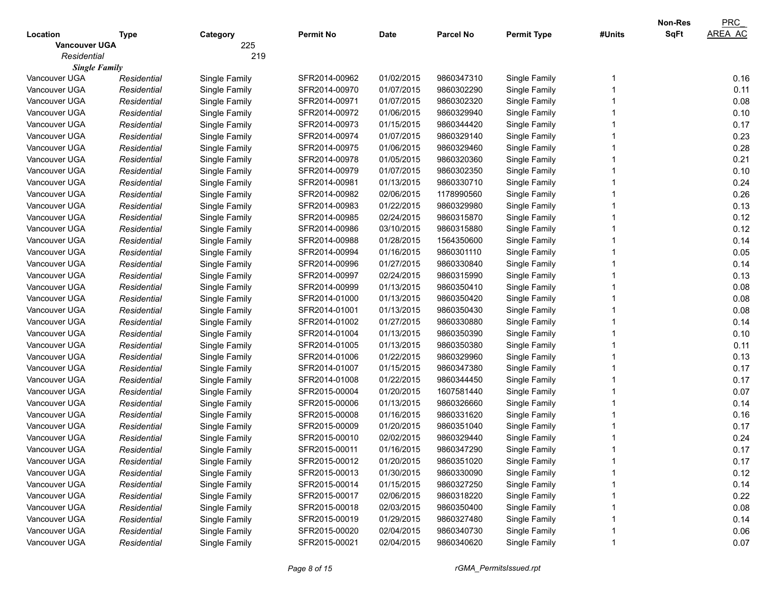| <b>SqFt</b><br><b>AREA AC</b><br><b>Parcel No</b><br>Location<br><b>Permit No</b><br>Date<br><b>Permit Type</b><br>#Units<br><b>Type</b><br>Category<br>225<br><b>Vancouver UGA</b><br>219<br>Residential<br><b>Single Family</b><br>01/02/2015<br>0.16<br>Vancouver UGA<br>Residential<br>Single Family<br>SFR2014-00962<br>9860347310<br>Single Family<br>Vancouver UGA<br>SFR2014-00970<br>01/07/2015<br>9860302290<br>Single Family<br>0.11<br>Residential<br>Single Family<br>0.08<br>Vancouver UGA<br>Residential<br>Single Family<br>SFR2014-00971<br>01/07/2015<br>9860302320<br>Single Family<br>0.10<br>Vancouver UGA<br>Residential<br>Single Family<br>SFR2014-00972<br>01/06/2015<br>9860329940<br>Single Family<br>0.17<br>Vancouver UGA<br>Residential<br>Single Family<br>SFR2014-00973<br>01/15/2015<br>9860344420<br>Single Family<br>0.23<br>Vancouver UGA<br>Residential<br>Single Family<br>SFR2014-00974<br>01/07/2015<br>9860329140<br>Single Family<br>0.28<br>Vancouver UGA<br>Residential<br>Single Family<br>SFR2014-00975<br>01/06/2015<br>9860329460<br>Single Family<br>0.21<br>Vancouver UGA<br>Residential<br>Single Family<br>SFR2014-00978<br>01/05/2015<br>9860320360<br>Single Family<br>0.10<br>Vancouver UGA<br>SFR2014-00979<br>01/07/2015<br>9860302350<br>Single Family<br>Residential<br>Single Family<br>Vancouver UGA<br>SFR2014-00981<br>01/13/2015<br>9860330710<br>Single Family<br>0.24<br>Residential<br>Single Family<br>0.26<br>Vancouver UGA<br>Residential<br>Single Family<br>SFR2014-00982<br>02/06/2015<br>1178990560<br>Single Family<br>0.13<br>01/22/2015<br>Vancouver UGA<br>Residential<br>Single Family<br>SFR2014-00983<br>9860329980<br>Single Family<br>0.12<br>02/24/2015<br>Vancouver UGA<br>Residential<br>Single Family<br>SFR2014-00985<br>9860315870<br>Single Family<br>03/10/2015<br>Vancouver UGA<br>Residential<br>Single Family<br>SFR2014-00986<br>9860315880<br>Single Family<br>01/28/2015<br>0.14<br>Vancouver UGA<br>Residential<br>Single Family<br>SFR2014-00988<br>1564350600<br>Single Family<br>01/16/2015<br>0.05<br>Vancouver UGA<br>Residential<br>Single Family<br>SFR2014-00994<br>9860301110<br>Single Family<br>01/27/2015<br>Vancouver UGA<br>SFR2014-00996<br>9860330840<br>Single Family<br>0.14<br>Residential<br>Single Family<br>02/24/2015<br>0.13<br>Vancouver UGA<br>Residential<br>Single Family<br>SFR2014-00997<br>9860315990<br>Single Family<br>01/13/2015<br>0.08<br>Vancouver UGA<br>Residential<br>Single Family<br>SFR2014-00999<br>9860350410<br>Single Family<br>0.08<br>01/13/2015<br>Vancouver UGA<br>Residential<br>Single Family<br>SFR2014-01000<br>9860350420<br>Single Family<br>0.08<br>01/13/2015<br>Vancouver UGA<br>Residential<br>Single Family<br>SFR2014-01001<br>9860350430<br>Single Family<br>01/27/2015<br>0.14<br>Vancouver UGA<br>Residential<br>Single Family<br>SFR2014-01002<br>9860330880<br>Single Family<br>01/13/2015<br>0.10<br>Vancouver UGA<br>Residential<br>Single Family<br>SFR2014-01004<br>9860350390<br>Single Family<br>01/13/2015<br>Vancouver UGA<br>SFR2014-01005<br>9860350380<br>Single Family<br>0.11<br>Residential<br>Single Family<br>01/22/2015<br>Vancouver UGA<br>SFR2014-01006<br>9860329960<br>Single Family<br>0.13<br>Residential<br>Single Family<br>01/15/2015<br>0.17<br>Vancouver UGA<br>Residential<br>Single Family<br>SFR2014-01007<br>9860347380<br>Single Family<br>01/22/2015<br>0.17<br>Vancouver UGA<br>Residential<br>Single Family<br>SFR2014-01008<br>9860344450<br>Single Family<br>01/20/2015<br>0.07<br>Vancouver UGA<br>Residential<br>Single Family<br>SFR2015-00004<br>1607581440<br>Single Family<br>01/13/2015<br>0.14<br>Vancouver UGA<br>Residential<br>Single Family<br>SFR2015-00006<br>9860326660<br>Single Family<br>01/16/2015<br>0.16<br>Vancouver UGA<br>Residential<br>Single Family<br>SFR2015-00008<br>9860331620<br>Single Family<br>0.17<br>Vancouver UGA<br>Residential<br>Single Family<br>SFR2015-00009<br>01/20/2015<br>9860351040<br>Single Family<br>02/02/2015<br>0.24<br>Vancouver UGA<br>SFR2015-00010<br>9860329440<br>Single Family<br>Residential<br>Single Family<br>0.17<br>Vancouver UGA<br>SFR2015-00011<br>01/16/2015<br>9860347290<br>Single Family<br>Residential<br>Single Family<br>Vancouver UGA<br>Single Family<br>SFR2015-00012<br>01/20/2015<br>9860351020<br>Single Family<br>0.17<br>Residential<br>Vancouver UGA<br>Single Family<br>SFR2015-00013<br>01/30/2015<br>Single Family<br>0.12<br>Residential<br>9860330090<br>Single Family<br>SFR2015-00014<br>01/15/2015<br>Single Family<br>0.14<br>Vancouver UGA<br>Residential<br>9860327250<br>Single Family<br>SFR2015-00017<br>02/06/2015<br>Single Family<br>0.22<br>Vancouver UGA<br>Residential<br>9860318220<br>Single Family<br>SFR2015-00018<br>02/03/2015<br>Single Family<br>0.08<br>Vancouver UGA<br>Residential<br>9860350400<br>SFR2015-00019<br>01/29/2015<br>Single Family<br>Vancouver UGA<br>Single Family<br>9860327480<br>0.14<br>Residential<br>SFR2015-00020<br>02/04/2015<br>Single Family<br>Vancouver UGA<br>Single Family<br>9860340730<br>0.06<br>Residential<br>Vancouver UGA<br>SFR2015-00021<br>02/04/2015<br>9860340620<br>Single Family<br>0.07<br>Residential |  |               |  |  | <b>Non-Res</b> | PRC |
|-----------------------------------------------------------------------------------------------------------------------------------------------------------------------------------------------------------------------------------------------------------------------------------------------------------------------------------------------------------------------------------------------------------------------------------------------------------------------------------------------------------------------------------------------------------------------------------------------------------------------------------------------------------------------------------------------------------------------------------------------------------------------------------------------------------------------------------------------------------------------------------------------------------------------------------------------------------------------------------------------------------------------------------------------------------------------------------------------------------------------------------------------------------------------------------------------------------------------------------------------------------------------------------------------------------------------------------------------------------------------------------------------------------------------------------------------------------------------------------------------------------------------------------------------------------------------------------------------------------------------------------------------------------------------------------------------------------------------------------------------------------------------------------------------------------------------------------------------------------------------------------------------------------------------------------------------------------------------------------------------------------------------------------------------------------------------------------------------------------------------------------------------------------------------------------------------------------------------------------------------------------------------------------------------------------------------------------------------------------------------------------------------------------------------------------------------------------------------------------------------------------------------------------------------------------------------------------------------------------------------------------------------------------------------------------------------------------------------------------------------------------------------------------------------------------------------------------------------------------------------------------------------------------------------------------------------------------------------------------------------------------------------------------------------------------------------------------------------------------------------------------------------------------------------------------------------------------------------------------------------------------------------------------------------------------------------------------------------------------------------------------------------------------------------------------------------------------------------------------------------------------------------------------------------------------------------------------------------------------------------------------------------------------------------------------------------------------------------------------------------------------------------------------------------------------------------------------------------------------------------------------------------------------------------------------------------------------------------------------------------------------------------------------------------------------------------------------------------------------------------------------------------------------------------------------------------------------------------------------------------------------------------------------------------------------------------------------------------------------------------------------------------------------------------------------------------------------------------------------------------------------------------------------------------------------------------------------------------------------------------------------------------------------------------------------------------------------------------------------------------------------------------------------------------------------------------------------------------------------------------------------------------------------------------------------------------------------------------------------------------------------------------------------------------------------------------------------------------------------------------------------------------------------------------------------------------------------------------------------------------------------------------------------------|--|---------------|--|--|----------------|-----|
|                                                                                                                                                                                                                                                                                                                                                                                                                                                                                                                                                                                                                                                                                                                                                                                                                                                                                                                                                                                                                                                                                                                                                                                                                                                                                                                                                                                                                                                                                                                                                                                                                                                                                                                                                                                                                                                                                                                                                                                                                                                                                                                                                                                                                                                                                                                                                                                                                                                                                                                                                                                                                                                                                                                                                                                                                                                                                                                                                                                                                                                                                                                                                                                                                                                                                                                                                                                                                                                                                                                                                                                                                                                                                                                                                                                                                                                                                                                                                                                                                                                                                                                                                                                                                                                                                                                                                                                                                                                                                                                                                                                                                                                                                                                                                                                                                                                                                                                                                                                                                                                                                                                                                                                                                                                                                         |  |               |  |  |                |     |
|                                                                                                                                                                                                                                                                                                                                                                                                                                                                                                                                                                                                                                                                                                                                                                                                                                                                                                                                                                                                                                                                                                                                                                                                                                                                                                                                                                                                                                                                                                                                                                                                                                                                                                                                                                                                                                                                                                                                                                                                                                                                                                                                                                                                                                                                                                                                                                                                                                                                                                                                                                                                                                                                                                                                                                                                                                                                                                                                                                                                                                                                                                                                                                                                                                                                                                                                                                                                                                                                                                                                                                                                                                                                                                                                                                                                                                                                                                                                                                                                                                                                                                                                                                                                                                                                                                                                                                                                                                                                                                                                                                                                                                                                                                                                                                                                                                                                                                                                                                                                                                                                                                                                                                                                                                                                                         |  |               |  |  |                |     |
| 0.12                                                                                                                                                                                                                                                                                                                                                                                                                                                                                                                                                                                                                                                                                                                                                                                                                                                                                                                                                                                                                                                                                                                                                                                                                                                                                                                                                                                                                                                                                                                                                                                                                                                                                                                                                                                                                                                                                                                                                                                                                                                                                                                                                                                                                                                                                                                                                                                                                                                                                                                                                                                                                                                                                                                                                                                                                                                                                                                                                                                                                                                                                                                                                                                                                                                                                                                                                                                                                                                                                                                                                                                                                                                                                                                                                                                                                                                                                                                                                                                                                                                                                                                                                                                                                                                                                                                                                                                                                                                                                                                                                                                                                                                                                                                                                                                                                                                                                                                                                                                                                                                                                                                                                                                                                                                                                    |  |               |  |  |                |     |
|                                                                                                                                                                                                                                                                                                                                                                                                                                                                                                                                                                                                                                                                                                                                                                                                                                                                                                                                                                                                                                                                                                                                                                                                                                                                                                                                                                                                                                                                                                                                                                                                                                                                                                                                                                                                                                                                                                                                                                                                                                                                                                                                                                                                                                                                                                                                                                                                                                                                                                                                                                                                                                                                                                                                                                                                                                                                                                                                                                                                                                                                                                                                                                                                                                                                                                                                                                                                                                                                                                                                                                                                                                                                                                                                                                                                                                                                                                                                                                                                                                                                                                                                                                                                                                                                                                                                                                                                                                                                                                                                                                                                                                                                                                                                                                                                                                                                                                                                                                                                                                                                                                                                                                                                                                                                                         |  |               |  |  |                |     |
|                                                                                                                                                                                                                                                                                                                                                                                                                                                                                                                                                                                                                                                                                                                                                                                                                                                                                                                                                                                                                                                                                                                                                                                                                                                                                                                                                                                                                                                                                                                                                                                                                                                                                                                                                                                                                                                                                                                                                                                                                                                                                                                                                                                                                                                                                                                                                                                                                                                                                                                                                                                                                                                                                                                                                                                                                                                                                                                                                                                                                                                                                                                                                                                                                                                                                                                                                                                                                                                                                                                                                                                                                                                                                                                                                                                                                                                                                                                                                                                                                                                                                                                                                                                                                                                                                                                                                                                                                                                                                                                                                                                                                                                                                                                                                                                                                                                                                                                                                                                                                                                                                                                                                                                                                                                                                         |  |               |  |  |                |     |
|                                                                                                                                                                                                                                                                                                                                                                                                                                                                                                                                                                                                                                                                                                                                                                                                                                                                                                                                                                                                                                                                                                                                                                                                                                                                                                                                                                                                                                                                                                                                                                                                                                                                                                                                                                                                                                                                                                                                                                                                                                                                                                                                                                                                                                                                                                                                                                                                                                                                                                                                                                                                                                                                                                                                                                                                                                                                                                                                                                                                                                                                                                                                                                                                                                                                                                                                                                                                                                                                                                                                                                                                                                                                                                                                                                                                                                                                                                                                                                                                                                                                                                                                                                                                                                                                                                                                                                                                                                                                                                                                                                                                                                                                                                                                                                                                                                                                                                                                                                                                                                                                                                                                                                                                                                                                                         |  |               |  |  |                |     |
|                                                                                                                                                                                                                                                                                                                                                                                                                                                                                                                                                                                                                                                                                                                                                                                                                                                                                                                                                                                                                                                                                                                                                                                                                                                                                                                                                                                                                                                                                                                                                                                                                                                                                                                                                                                                                                                                                                                                                                                                                                                                                                                                                                                                                                                                                                                                                                                                                                                                                                                                                                                                                                                                                                                                                                                                                                                                                                                                                                                                                                                                                                                                                                                                                                                                                                                                                                                                                                                                                                                                                                                                                                                                                                                                                                                                                                                                                                                                                                                                                                                                                                                                                                                                                                                                                                                                                                                                                                                                                                                                                                                                                                                                                                                                                                                                                                                                                                                                                                                                                                                                                                                                                                                                                                                                                         |  |               |  |  |                |     |
|                                                                                                                                                                                                                                                                                                                                                                                                                                                                                                                                                                                                                                                                                                                                                                                                                                                                                                                                                                                                                                                                                                                                                                                                                                                                                                                                                                                                                                                                                                                                                                                                                                                                                                                                                                                                                                                                                                                                                                                                                                                                                                                                                                                                                                                                                                                                                                                                                                                                                                                                                                                                                                                                                                                                                                                                                                                                                                                                                                                                                                                                                                                                                                                                                                                                                                                                                                                                                                                                                                                                                                                                                                                                                                                                                                                                                                                                                                                                                                                                                                                                                                                                                                                                                                                                                                                                                                                                                                                                                                                                                                                                                                                                                                                                                                                                                                                                                                                                                                                                                                                                                                                                                                                                                                                                                         |  |               |  |  |                |     |
|                                                                                                                                                                                                                                                                                                                                                                                                                                                                                                                                                                                                                                                                                                                                                                                                                                                                                                                                                                                                                                                                                                                                                                                                                                                                                                                                                                                                                                                                                                                                                                                                                                                                                                                                                                                                                                                                                                                                                                                                                                                                                                                                                                                                                                                                                                                                                                                                                                                                                                                                                                                                                                                                                                                                                                                                                                                                                                                                                                                                                                                                                                                                                                                                                                                                                                                                                                                                                                                                                                                                                                                                                                                                                                                                                                                                                                                                                                                                                                                                                                                                                                                                                                                                                                                                                                                                                                                                                                                                                                                                                                                                                                                                                                                                                                                                                                                                                                                                                                                                                                                                                                                                                                                                                                                                                         |  |               |  |  |                |     |
|                                                                                                                                                                                                                                                                                                                                                                                                                                                                                                                                                                                                                                                                                                                                                                                                                                                                                                                                                                                                                                                                                                                                                                                                                                                                                                                                                                                                                                                                                                                                                                                                                                                                                                                                                                                                                                                                                                                                                                                                                                                                                                                                                                                                                                                                                                                                                                                                                                                                                                                                                                                                                                                                                                                                                                                                                                                                                                                                                                                                                                                                                                                                                                                                                                                                                                                                                                                                                                                                                                                                                                                                                                                                                                                                                                                                                                                                                                                                                                                                                                                                                                                                                                                                                                                                                                                                                                                                                                                                                                                                                                                                                                                                                                                                                                                                                                                                                                                                                                                                                                                                                                                                                                                                                                                                                         |  |               |  |  |                |     |
|                                                                                                                                                                                                                                                                                                                                                                                                                                                                                                                                                                                                                                                                                                                                                                                                                                                                                                                                                                                                                                                                                                                                                                                                                                                                                                                                                                                                                                                                                                                                                                                                                                                                                                                                                                                                                                                                                                                                                                                                                                                                                                                                                                                                                                                                                                                                                                                                                                                                                                                                                                                                                                                                                                                                                                                                                                                                                                                                                                                                                                                                                                                                                                                                                                                                                                                                                                                                                                                                                                                                                                                                                                                                                                                                                                                                                                                                                                                                                                                                                                                                                                                                                                                                                                                                                                                                                                                                                                                                                                                                                                                                                                                                                                                                                                                                                                                                                                                                                                                                                                                                                                                                                                                                                                                                                         |  |               |  |  |                |     |
|                                                                                                                                                                                                                                                                                                                                                                                                                                                                                                                                                                                                                                                                                                                                                                                                                                                                                                                                                                                                                                                                                                                                                                                                                                                                                                                                                                                                                                                                                                                                                                                                                                                                                                                                                                                                                                                                                                                                                                                                                                                                                                                                                                                                                                                                                                                                                                                                                                                                                                                                                                                                                                                                                                                                                                                                                                                                                                                                                                                                                                                                                                                                                                                                                                                                                                                                                                                                                                                                                                                                                                                                                                                                                                                                                                                                                                                                                                                                                                                                                                                                                                                                                                                                                                                                                                                                                                                                                                                                                                                                                                                                                                                                                                                                                                                                                                                                                                                                                                                                                                                                                                                                                                                                                                                                                         |  |               |  |  |                |     |
|                                                                                                                                                                                                                                                                                                                                                                                                                                                                                                                                                                                                                                                                                                                                                                                                                                                                                                                                                                                                                                                                                                                                                                                                                                                                                                                                                                                                                                                                                                                                                                                                                                                                                                                                                                                                                                                                                                                                                                                                                                                                                                                                                                                                                                                                                                                                                                                                                                                                                                                                                                                                                                                                                                                                                                                                                                                                                                                                                                                                                                                                                                                                                                                                                                                                                                                                                                                                                                                                                                                                                                                                                                                                                                                                                                                                                                                                                                                                                                                                                                                                                                                                                                                                                                                                                                                                                                                                                                                                                                                                                                                                                                                                                                                                                                                                                                                                                                                                                                                                                                                                                                                                                                                                                                                                                         |  |               |  |  |                |     |
|                                                                                                                                                                                                                                                                                                                                                                                                                                                                                                                                                                                                                                                                                                                                                                                                                                                                                                                                                                                                                                                                                                                                                                                                                                                                                                                                                                                                                                                                                                                                                                                                                                                                                                                                                                                                                                                                                                                                                                                                                                                                                                                                                                                                                                                                                                                                                                                                                                                                                                                                                                                                                                                                                                                                                                                                                                                                                                                                                                                                                                                                                                                                                                                                                                                                                                                                                                                                                                                                                                                                                                                                                                                                                                                                                                                                                                                                                                                                                                                                                                                                                                                                                                                                                                                                                                                                                                                                                                                                                                                                                                                                                                                                                                                                                                                                                                                                                                                                                                                                                                                                                                                                                                                                                                                                                         |  |               |  |  |                |     |
|                                                                                                                                                                                                                                                                                                                                                                                                                                                                                                                                                                                                                                                                                                                                                                                                                                                                                                                                                                                                                                                                                                                                                                                                                                                                                                                                                                                                                                                                                                                                                                                                                                                                                                                                                                                                                                                                                                                                                                                                                                                                                                                                                                                                                                                                                                                                                                                                                                                                                                                                                                                                                                                                                                                                                                                                                                                                                                                                                                                                                                                                                                                                                                                                                                                                                                                                                                                                                                                                                                                                                                                                                                                                                                                                                                                                                                                                                                                                                                                                                                                                                                                                                                                                                                                                                                                                                                                                                                                                                                                                                                                                                                                                                                                                                                                                                                                                                                                                                                                                                                                                                                                                                                                                                                                                                         |  |               |  |  |                |     |
|                                                                                                                                                                                                                                                                                                                                                                                                                                                                                                                                                                                                                                                                                                                                                                                                                                                                                                                                                                                                                                                                                                                                                                                                                                                                                                                                                                                                                                                                                                                                                                                                                                                                                                                                                                                                                                                                                                                                                                                                                                                                                                                                                                                                                                                                                                                                                                                                                                                                                                                                                                                                                                                                                                                                                                                                                                                                                                                                                                                                                                                                                                                                                                                                                                                                                                                                                                                                                                                                                                                                                                                                                                                                                                                                                                                                                                                                                                                                                                                                                                                                                                                                                                                                                                                                                                                                                                                                                                                                                                                                                                                                                                                                                                                                                                                                                                                                                                                                                                                                                                                                                                                                                                                                                                                                                         |  |               |  |  |                |     |
|                                                                                                                                                                                                                                                                                                                                                                                                                                                                                                                                                                                                                                                                                                                                                                                                                                                                                                                                                                                                                                                                                                                                                                                                                                                                                                                                                                                                                                                                                                                                                                                                                                                                                                                                                                                                                                                                                                                                                                                                                                                                                                                                                                                                                                                                                                                                                                                                                                                                                                                                                                                                                                                                                                                                                                                                                                                                                                                                                                                                                                                                                                                                                                                                                                                                                                                                                                                                                                                                                                                                                                                                                                                                                                                                                                                                                                                                                                                                                                                                                                                                                                                                                                                                                                                                                                                                                                                                                                                                                                                                                                                                                                                                                                                                                                                                                                                                                                                                                                                                                                                                                                                                                                                                                                                                                         |  |               |  |  |                |     |
|                                                                                                                                                                                                                                                                                                                                                                                                                                                                                                                                                                                                                                                                                                                                                                                                                                                                                                                                                                                                                                                                                                                                                                                                                                                                                                                                                                                                                                                                                                                                                                                                                                                                                                                                                                                                                                                                                                                                                                                                                                                                                                                                                                                                                                                                                                                                                                                                                                                                                                                                                                                                                                                                                                                                                                                                                                                                                                                                                                                                                                                                                                                                                                                                                                                                                                                                                                                                                                                                                                                                                                                                                                                                                                                                                                                                                                                                                                                                                                                                                                                                                                                                                                                                                                                                                                                                                                                                                                                                                                                                                                                                                                                                                                                                                                                                                                                                                                                                                                                                                                                                                                                                                                                                                                                                                         |  |               |  |  |                |     |
|                                                                                                                                                                                                                                                                                                                                                                                                                                                                                                                                                                                                                                                                                                                                                                                                                                                                                                                                                                                                                                                                                                                                                                                                                                                                                                                                                                                                                                                                                                                                                                                                                                                                                                                                                                                                                                                                                                                                                                                                                                                                                                                                                                                                                                                                                                                                                                                                                                                                                                                                                                                                                                                                                                                                                                                                                                                                                                                                                                                                                                                                                                                                                                                                                                                                                                                                                                                                                                                                                                                                                                                                                                                                                                                                                                                                                                                                                                                                                                                                                                                                                                                                                                                                                                                                                                                                                                                                                                                                                                                                                                                                                                                                                                                                                                                                                                                                                                                                                                                                                                                                                                                                                                                                                                                                                         |  |               |  |  |                |     |
|                                                                                                                                                                                                                                                                                                                                                                                                                                                                                                                                                                                                                                                                                                                                                                                                                                                                                                                                                                                                                                                                                                                                                                                                                                                                                                                                                                                                                                                                                                                                                                                                                                                                                                                                                                                                                                                                                                                                                                                                                                                                                                                                                                                                                                                                                                                                                                                                                                                                                                                                                                                                                                                                                                                                                                                                                                                                                                                                                                                                                                                                                                                                                                                                                                                                                                                                                                                                                                                                                                                                                                                                                                                                                                                                                                                                                                                                                                                                                                                                                                                                                                                                                                                                                                                                                                                                                                                                                                                                                                                                                                                                                                                                                                                                                                                                                                                                                                                                                                                                                                                                                                                                                                                                                                                                                         |  |               |  |  |                |     |
|                                                                                                                                                                                                                                                                                                                                                                                                                                                                                                                                                                                                                                                                                                                                                                                                                                                                                                                                                                                                                                                                                                                                                                                                                                                                                                                                                                                                                                                                                                                                                                                                                                                                                                                                                                                                                                                                                                                                                                                                                                                                                                                                                                                                                                                                                                                                                                                                                                                                                                                                                                                                                                                                                                                                                                                                                                                                                                                                                                                                                                                                                                                                                                                                                                                                                                                                                                                                                                                                                                                                                                                                                                                                                                                                                                                                                                                                                                                                                                                                                                                                                                                                                                                                                                                                                                                                                                                                                                                                                                                                                                                                                                                                                                                                                                                                                                                                                                                                                                                                                                                                                                                                                                                                                                                                                         |  |               |  |  |                |     |
|                                                                                                                                                                                                                                                                                                                                                                                                                                                                                                                                                                                                                                                                                                                                                                                                                                                                                                                                                                                                                                                                                                                                                                                                                                                                                                                                                                                                                                                                                                                                                                                                                                                                                                                                                                                                                                                                                                                                                                                                                                                                                                                                                                                                                                                                                                                                                                                                                                                                                                                                                                                                                                                                                                                                                                                                                                                                                                                                                                                                                                                                                                                                                                                                                                                                                                                                                                                                                                                                                                                                                                                                                                                                                                                                                                                                                                                                                                                                                                                                                                                                                                                                                                                                                                                                                                                                                                                                                                                                                                                                                                                                                                                                                                                                                                                                                                                                                                                                                                                                                                                                                                                                                                                                                                                                                         |  |               |  |  |                |     |
|                                                                                                                                                                                                                                                                                                                                                                                                                                                                                                                                                                                                                                                                                                                                                                                                                                                                                                                                                                                                                                                                                                                                                                                                                                                                                                                                                                                                                                                                                                                                                                                                                                                                                                                                                                                                                                                                                                                                                                                                                                                                                                                                                                                                                                                                                                                                                                                                                                                                                                                                                                                                                                                                                                                                                                                                                                                                                                                                                                                                                                                                                                                                                                                                                                                                                                                                                                                                                                                                                                                                                                                                                                                                                                                                                                                                                                                                                                                                                                                                                                                                                                                                                                                                                                                                                                                                                                                                                                                                                                                                                                                                                                                                                                                                                                                                                                                                                                                                                                                                                                                                                                                                                                                                                                                                                         |  |               |  |  |                |     |
|                                                                                                                                                                                                                                                                                                                                                                                                                                                                                                                                                                                                                                                                                                                                                                                                                                                                                                                                                                                                                                                                                                                                                                                                                                                                                                                                                                                                                                                                                                                                                                                                                                                                                                                                                                                                                                                                                                                                                                                                                                                                                                                                                                                                                                                                                                                                                                                                                                                                                                                                                                                                                                                                                                                                                                                                                                                                                                                                                                                                                                                                                                                                                                                                                                                                                                                                                                                                                                                                                                                                                                                                                                                                                                                                                                                                                                                                                                                                                                                                                                                                                                                                                                                                                                                                                                                                                                                                                                                                                                                                                                                                                                                                                                                                                                                                                                                                                                                                                                                                                                                                                                                                                                                                                                                                                         |  |               |  |  |                |     |
|                                                                                                                                                                                                                                                                                                                                                                                                                                                                                                                                                                                                                                                                                                                                                                                                                                                                                                                                                                                                                                                                                                                                                                                                                                                                                                                                                                                                                                                                                                                                                                                                                                                                                                                                                                                                                                                                                                                                                                                                                                                                                                                                                                                                                                                                                                                                                                                                                                                                                                                                                                                                                                                                                                                                                                                                                                                                                                                                                                                                                                                                                                                                                                                                                                                                                                                                                                                                                                                                                                                                                                                                                                                                                                                                                                                                                                                                                                                                                                                                                                                                                                                                                                                                                                                                                                                                                                                                                                                                                                                                                                                                                                                                                                                                                                                                                                                                                                                                                                                                                                                                                                                                                                                                                                                                                         |  |               |  |  |                |     |
|                                                                                                                                                                                                                                                                                                                                                                                                                                                                                                                                                                                                                                                                                                                                                                                                                                                                                                                                                                                                                                                                                                                                                                                                                                                                                                                                                                                                                                                                                                                                                                                                                                                                                                                                                                                                                                                                                                                                                                                                                                                                                                                                                                                                                                                                                                                                                                                                                                                                                                                                                                                                                                                                                                                                                                                                                                                                                                                                                                                                                                                                                                                                                                                                                                                                                                                                                                                                                                                                                                                                                                                                                                                                                                                                                                                                                                                                                                                                                                                                                                                                                                                                                                                                                                                                                                                                                                                                                                                                                                                                                                                                                                                                                                                                                                                                                                                                                                                                                                                                                                                                                                                                                                                                                                                                                         |  |               |  |  |                |     |
|                                                                                                                                                                                                                                                                                                                                                                                                                                                                                                                                                                                                                                                                                                                                                                                                                                                                                                                                                                                                                                                                                                                                                                                                                                                                                                                                                                                                                                                                                                                                                                                                                                                                                                                                                                                                                                                                                                                                                                                                                                                                                                                                                                                                                                                                                                                                                                                                                                                                                                                                                                                                                                                                                                                                                                                                                                                                                                                                                                                                                                                                                                                                                                                                                                                                                                                                                                                                                                                                                                                                                                                                                                                                                                                                                                                                                                                                                                                                                                                                                                                                                                                                                                                                                                                                                                                                                                                                                                                                                                                                                                                                                                                                                                                                                                                                                                                                                                                                                                                                                                                                                                                                                                                                                                                                                         |  |               |  |  |                |     |
|                                                                                                                                                                                                                                                                                                                                                                                                                                                                                                                                                                                                                                                                                                                                                                                                                                                                                                                                                                                                                                                                                                                                                                                                                                                                                                                                                                                                                                                                                                                                                                                                                                                                                                                                                                                                                                                                                                                                                                                                                                                                                                                                                                                                                                                                                                                                                                                                                                                                                                                                                                                                                                                                                                                                                                                                                                                                                                                                                                                                                                                                                                                                                                                                                                                                                                                                                                                                                                                                                                                                                                                                                                                                                                                                                                                                                                                                                                                                                                                                                                                                                                                                                                                                                                                                                                                                                                                                                                                                                                                                                                                                                                                                                                                                                                                                                                                                                                                                                                                                                                                                                                                                                                                                                                                                                         |  |               |  |  |                |     |
|                                                                                                                                                                                                                                                                                                                                                                                                                                                                                                                                                                                                                                                                                                                                                                                                                                                                                                                                                                                                                                                                                                                                                                                                                                                                                                                                                                                                                                                                                                                                                                                                                                                                                                                                                                                                                                                                                                                                                                                                                                                                                                                                                                                                                                                                                                                                                                                                                                                                                                                                                                                                                                                                                                                                                                                                                                                                                                                                                                                                                                                                                                                                                                                                                                                                                                                                                                                                                                                                                                                                                                                                                                                                                                                                                                                                                                                                                                                                                                                                                                                                                                                                                                                                                                                                                                                                                                                                                                                                                                                                                                                                                                                                                                                                                                                                                                                                                                                                                                                                                                                                                                                                                                                                                                                                                         |  |               |  |  |                |     |
|                                                                                                                                                                                                                                                                                                                                                                                                                                                                                                                                                                                                                                                                                                                                                                                                                                                                                                                                                                                                                                                                                                                                                                                                                                                                                                                                                                                                                                                                                                                                                                                                                                                                                                                                                                                                                                                                                                                                                                                                                                                                                                                                                                                                                                                                                                                                                                                                                                                                                                                                                                                                                                                                                                                                                                                                                                                                                                                                                                                                                                                                                                                                                                                                                                                                                                                                                                                                                                                                                                                                                                                                                                                                                                                                                                                                                                                                                                                                                                                                                                                                                                                                                                                                                                                                                                                                                                                                                                                                                                                                                                                                                                                                                                                                                                                                                                                                                                                                                                                                                                                                                                                                                                                                                                                                                         |  |               |  |  |                |     |
|                                                                                                                                                                                                                                                                                                                                                                                                                                                                                                                                                                                                                                                                                                                                                                                                                                                                                                                                                                                                                                                                                                                                                                                                                                                                                                                                                                                                                                                                                                                                                                                                                                                                                                                                                                                                                                                                                                                                                                                                                                                                                                                                                                                                                                                                                                                                                                                                                                                                                                                                                                                                                                                                                                                                                                                                                                                                                                                                                                                                                                                                                                                                                                                                                                                                                                                                                                                                                                                                                                                                                                                                                                                                                                                                                                                                                                                                                                                                                                                                                                                                                                                                                                                                                                                                                                                                                                                                                                                                                                                                                                                                                                                                                                                                                                                                                                                                                                                                                                                                                                                                                                                                                                                                                                                                                         |  |               |  |  |                |     |
|                                                                                                                                                                                                                                                                                                                                                                                                                                                                                                                                                                                                                                                                                                                                                                                                                                                                                                                                                                                                                                                                                                                                                                                                                                                                                                                                                                                                                                                                                                                                                                                                                                                                                                                                                                                                                                                                                                                                                                                                                                                                                                                                                                                                                                                                                                                                                                                                                                                                                                                                                                                                                                                                                                                                                                                                                                                                                                                                                                                                                                                                                                                                                                                                                                                                                                                                                                                                                                                                                                                                                                                                                                                                                                                                                                                                                                                                                                                                                                                                                                                                                                                                                                                                                                                                                                                                                                                                                                                                                                                                                                                                                                                                                                                                                                                                                                                                                                                                                                                                                                                                                                                                                                                                                                                                                         |  |               |  |  |                |     |
|                                                                                                                                                                                                                                                                                                                                                                                                                                                                                                                                                                                                                                                                                                                                                                                                                                                                                                                                                                                                                                                                                                                                                                                                                                                                                                                                                                                                                                                                                                                                                                                                                                                                                                                                                                                                                                                                                                                                                                                                                                                                                                                                                                                                                                                                                                                                                                                                                                                                                                                                                                                                                                                                                                                                                                                                                                                                                                                                                                                                                                                                                                                                                                                                                                                                                                                                                                                                                                                                                                                                                                                                                                                                                                                                                                                                                                                                                                                                                                                                                                                                                                                                                                                                                                                                                                                                                                                                                                                                                                                                                                                                                                                                                                                                                                                                                                                                                                                                                                                                                                                                                                                                                                                                                                                                                         |  |               |  |  |                |     |
|                                                                                                                                                                                                                                                                                                                                                                                                                                                                                                                                                                                                                                                                                                                                                                                                                                                                                                                                                                                                                                                                                                                                                                                                                                                                                                                                                                                                                                                                                                                                                                                                                                                                                                                                                                                                                                                                                                                                                                                                                                                                                                                                                                                                                                                                                                                                                                                                                                                                                                                                                                                                                                                                                                                                                                                                                                                                                                                                                                                                                                                                                                                                                                                                                                                                                                                                                                                                                                                                                                                                                                                                                                                                                                                                                                                                                                                                                                                                                                                                                                                                                                                                                                                                                                                                                                                                                                                                                                                                                                                                                                                                                                                                                                                                                                                                                                                                                                                                                                                                                                                                                                                                                                                                                                                                                         |  |               |  |  |                |     |
|                                                                                                                                                                                                                                                                                                                                                                                                                                                                                                                                                                                                                                                                                                                                                                                                                                                                                                                                                                                                                                                                                                                                                                                                                                                                                                                                                                                                                                                                                                                                                                                                                                                                                                                                                                                                                                                                                                                                                                                                                                                                                                                                                                                                                                                                                                                                                                                                                                                                                                                                                                                                                                                                                                                                                                                                                                                                                                                                                                                                                                                                                                                                                                                                                                                                                                                                                                                                                                                                                                                                                                                                                                                                                                                                                                                                                                                                                                                                                                                                                                                                                                                                                                                                                                                                                                                                                                                                                                                                                                                                                                                                                                                                                                                                                                                                                                                                                                                                                                                                                                                                                                                                                                                                                                                                                         |  |               |  |  |                |     |
|                                                                                                                                                                                                                                                                                                                                                                                                                                                                                                                                                                                                                                                                                                                                                                                                                                                                                                                                                                                                                                                                                                                                                                                                                                                                                                                                                                                                                                                                                                                                                                                                                                                                                                                                                                                                                                                                                                                                                                                                                                                                                                                                                                                                                                                                                                                                                                                                                                                                                                                                                                                                                                                                                                                                                                                                                                                                                                                                                                                                                                                                                                                                                                                                                                                                                                                                                                                                                                                                                                                                                                                                                                                                                                                                                                                                                                                                                                                                                                                                                                                                                                                                                                                                                                                                                                                                                                                                                                                                                                                                                                                                                                                                                                                                                                                                                                                                                                                                                                                                                                                                                                                                                                                                                                                                                         |  |               |  |  |                |     |
|                                                                                                                                                                                                                                                                                                                                                                                                                                                                                                                                                                                                                                                                                                                                                                                                                                                                                                                                                                                                                                                                                                                                                                                                                                                                                                                                                                                                                                                                                                                                                                                                                                                                                                                                                                                                                                                                                                                                                                                                                                                                                                                                                                                                                                                                                                                                                                                                                                                                                                                                                                                                                                                                                                                                                                                                                                                                                                                                                                                                                                                                                                                                                                                                                                                                                                                                                                                                                                                                                                                                                                                                                                                                                                                                                                                                                                                                                                                                                                                                                                                                                                                                                                                                                                                                                                                                                                                                                                                                                                                                                                                                                                                                                                                                                                                                                                                                                                                                                                                                                                                                                                                                                                                                                                                                                         |  |               |  |  |                |     |
|                                                                                                                                                                                                                                                                                                                                                                                                                                                                                                                                                                                                                                                                                                                                                                                                                                                                                                                                                                                                                                                                                                                                                                                                                                                                                                                                                                                                                                                                                                                                                                                                                                                                                                                                                                                                                                                                                                                                                                                                                                                                                                                                                                                                                                                                                                                                                                                                                                                                                                                                                                                                                                                                                                                                                                                                                                                                                                                                                                                                                                                                                                                                                                                                                                                                                                                                                                                                                                                                                                                                                                                                                                                                                                                                                                                                                                                                                                                                                                                                                                                                                                                                                                                                                                                                                                                                                                                                                                                                                                                                                                                                                                                                                                                                                                                                                                                                                                                                                                                                                                                                                                                                                                                                                                                                                         |  |               |  |  |                |     |
|                                                                                                                                                                                                                                                                                                                                                                                                                                                                                                                                                                                                                                                                                                                                                                                                                                                                                                                                                                                                                                                                                                                                                                                                                                                                                                                                                                                                                                                                                                                                                                                                                                                                                                                                                                                                                                                                                                                                                                                                                                                                                                                                                                                                                                                                                                                                                                                                                                                                                                                                                                                                                                                                                                                                                                                                                                                                                                                                                                                                                                                                                                                                                                                                                                                                                                                                                                                                                                                                                                                                                                                                                                                                                                                                                                                                                                                                                                                                                                                                                                                                                                                                                                                                                                                                                                                                                                                                                                                                                                                                                                                                                                                                                                                                                                                                                                                                                                                                                                                                                                                                                                                                                                                                                                                                                         |  |               |  |  |                |     |
|                                                                                                                                                                                                                                                                                                                                                                                                                                                                                                                                                                                                                                                                                                                                                                                                                                                                                                                                                                                                                                                                                                                                                                                                                                                                                                                                                                                                                                                                                                                                                                                                                                                                                                                                                                                                                                                                                                                                                                                                                                                                                                                                                                                                                                                                                                                                                                                                                                                                                                                                                                                                                                                                                                                                                                                                                                                                                                                                                                                                                                                                                                                                                                                                                                                                                                                                                                                                                                                                                                                                                                                                                                                                                                                                                                                                                                                                                                                                                                                                                                                                                                                                                                                                                                                                                                                                                                                                                                                                                                                                                                                                                                                                                                                                                                                                                                                                                                                                                                                                                                                                                                                                                                                                                                                                                         |  |               |  |  |                |     |
|                                                                                                                                                                                                                                                                                                                                                                                                                                                                                                                                                                                                                                                                                                                                                                                                                                                                                                                                                                                                                                                                                                                                                                                                                                                                                                                                                                                                                                                                                                                                                                                                                                                                                                                                                                                                                                                                                                                                                                                                                                                                                                                                                                                                                                                                                                                                                                                                                                                                                                                                                                                                                                                                                                                                                                                                                                                                                                                                                                                                                                                                                                                                                                                                                                                                                                                                                                                                                                                                                                                                                                                                                                                                                                                                                                                                                                                                                                                                                                                                                                                                                                                                                                                                                                                                                                                                                                                                                                                                                                                                                                                                                                                                                                                                                                                                                                                                                                                                                                                                                                                                                                                                                                                                                                                                                         |  |               |  |  |                |     |
|                                                                                                                                                                                                                                                                                                                                                                                                                                                                                                                                                                                                                                                                                                                                                                                                                                                                                                                                                                                                                                                                                                                                                                                                                                                                                                                                                                                                                                                                                                                                                                                                                                                                                                                                                                                                                                                                                                                                                                                                                                                                                                                                                                                                                                                                                                                                                                                                                                                                                                                                                                                                                                                                                                                                                                                                                                                                                                                                                                                                                                                                                                                                                                                                                                                                                                                                                                                                                                                                                                                                                                                                                                                                                                                                                                                                                                                                                                                                                                                                                                                                                                                                                                                                                                                                                                                                                                                                                                                                                                                                                                                                                                                                                                                                                                                                                                                                                                                                                                                                                                                                                                                                                                                                                                                                                         |  |               |  |  |                |     |
|                                                                                                                                                                                                                                                                                                                                                                                                                                                                                                                                                                                                                                                                                                                                                                                                                                                                                                                                                                                                                                                                                                                                                                                                                                                                                                                                                                                                                                                                                                                                                                                                                                                                                                                                                                                                                                                                                                                                                                                                                                                                                                                                                                                                                                                                                                                                                                                                                                                                                                                                                                                                                                                                                                                                                                                                                                                                                                                                                                                                                                                                                                                                                                                                                                                                                                                                                                                                                                                                                                                                                                                                                                                                                                                                                                                                                                                                                                                                                                                                                                                                                                                                                                                                                                                                                                                                                                                                                                                                                                                                                                                                                                                                                                                                                                                                                                                                                                                                                                                                                                                                                                                                                                                                                                                                                         |  |               |  |  |                |     |
|                                                                                                                                                                                                                                                                                                                                                                                                                                                                                                                                                                                                                                                                                                                                                                                                                                                                                                                                                                                                                                                                                                                                                                                                                                                                                                                                                                                                                                                                                                                                                                                                                                                                                                                                                                                                                                                                                                                                                                                                                                                                                                                                                                                                                                                                                                                                                                                                                                                                                                                                                                                                                                                                                                                                                                                                                                                                                                                                                                                                                                                                                                                                                                                                                                                                                                                                                                                                                                                                                                                                                                                                                                                                                                                                                                                                                                                                                                                                                                                                                                                                                                                                                                                                                                                                                                                                                                                                                                                                                                                                                                                                                                                                                                                                                                                                                                                                                                                                                                                                                                                                                                                                                                                                                                                                                         |  |               |  |  |                |     |
|                                                                                                                                                                                                                                                                                                                                                                                                                                                                                                                                                                                                                                                                                                                                                                                                                                                                                                                                                                                                                                                                                                                                                                                                                                                                                                                                                                                                                                                                                                                                                                                                                                                                                                                                                                                                                                                                                                                                                                                                                                                                                                                                                                                                                                                                                                                                                                                                                                                                                                                                                                                                                                                                                                                                                                                                                                                                                                                                                                                                                                                                                                                                                                                                                                                                                                                                                                                                                                                                                                                                                                                                                                                                                                                                                                                                                                                                                                                                                                                                                                                                                                                                                                                                                                                                                                                                                                                                                                                                                                                                                                                                                                                                                                                                                                                                                                                                                                                                                                                                                                                                                                                                                                                                                                                                                         |  | Single Family |  |  |                |     |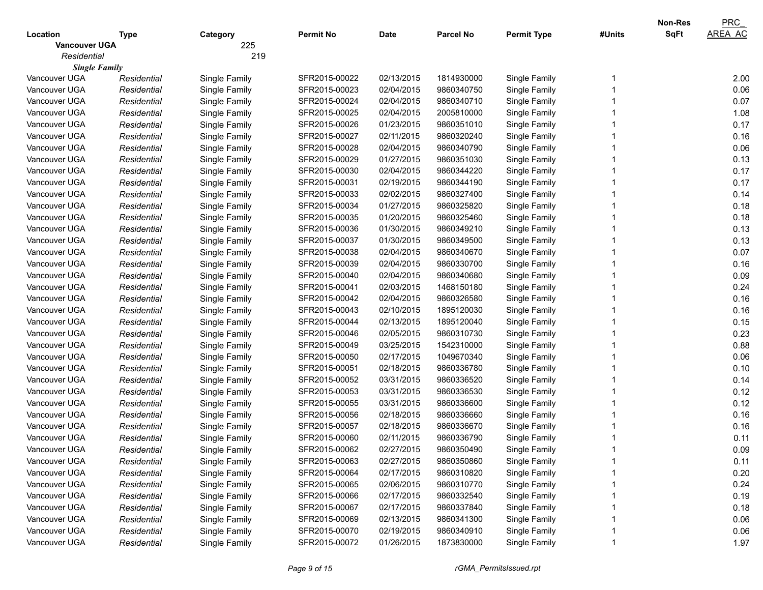|                      |             |               |                  |             |                  |                    |        | <b>Non-Res</b> | PRC            |
|----------------------|-------------|---------------|------------------|-------------|------------------|--------------------|--------|----------------|----------------|
| Location             | Type        | Category      | <b>Permit No</b> | <b>Date</b> | <b>Parcel No</b> | <b>Permit Type</b> | #Units | <b>SqFt</b>    | <b>AREA AC</b> |
| <b>Vancouver UGA</b> |             | 225           |                  |             |                  |                    |        |                |                |
| Residential          |             | 219           |                  |             |                  |                    |        |                |                |
| <b>Single Family</b> |             |               |                  |             |                  |                    |        |                |                |
| Vancouver UGA        | Residential | Single Family | SFR2015-00022    | 02/13/2015  | 1814930000       | Single Family      |        |                | 2.00           |
| Vancouver UGA        | Residential | Single Family | SFR2015-00023    | 02/04/2015  | 9860340750       | Single Family      |        |                | 0.06           |
| Vancouver UGA        | Residential | Single Family | SFR2015-00024    | 02/04/2015  | 9860340710       | Single Family      |        |                | 0.07           |
| Vancouver UGA        | Residential | Single Family | SFR2015-00025    | 02/04/2015  | 2005810000       | Single Family      |        |                | 1.08           |
| Vancouver UGA        | Residential | Single Family | SFR2015-00026    | 01/23/2015  | 9860351010       | Single Family      |        |                | 0.17           |
| Vancouver UGA        | Residential | Single Family | SFR2015-00027    | 02/11/2015  | 9860320240       | Single Family      |        |                | 0.16           |
| Vancouver UGA        | Residential | Single Family | SFR2015-00028    | 02/04/2015  | 9860340790       | Single Family      |        |                | 0.06           |
| Vancouver UGA        | Residential | Single Family | SFR2015-00029    | 01/27/2015  | 9860351030       | Single Family      |        |                | 0.13           |
| Vancouver UGA        | Residential | Single Family | SFR2015-00030    | 02/04/2015  | 9860344220       | Single Family      |        |                | 0.17           |
| Vancouver UGA        | Residential | Single Family | SFR2015-00031    | 02/19/2015  | 9860344190       | Single Family      |        |                | 0.17           |
| Vancouver UGA        | Residential | Single Family | SFR2015-00033    | 02/02/2015  | 9860327400       | Single Family      |        |                | 0.14           |
| Vancouver UGA        | Residential | Single Family | SFR2015-00034    | 01/27/2015  | 9860325820       | Single Family      |        |                | 0.18           |
| Vancouver UGA        | Residential | Single Family | SFR2015-00035    | 01/20/2015  | 9860325460       | Single Family      |        |                | 0.18           |
| Vancouver UGA        | Residential | Single Family | SFR2015-00036    | 01/30/2015  | 9860349210       | Single Family      |        |                | 0.13           |
| Vancouver UGA        | Residential | Single Family | SFR2015-00037    | 01/30/2015  | 9860349500       | Single Family      |        |                | 0.13           |
| Vancouver UGA        | Residential | Single Family | SFR2015-00038    | 02/04/2015  | 9860340670       | Single Family      |        |                | 0.07           |
| Vancouver UGA        | Residential | Single Family | SFR2015-00039    | 02/04/2015  | 9860330700       | Single Family      |        |                | 0.16           |
| Vancouver UGA        | Residential | Single Family | SFR2015-00040    | 02/04/2015  | 9860340680       | Single Family      |        |                | 0.09           |
| Vancouver UGA        | Residential | Single Family | SFR2015-00041    | 02/03/2015  | 1468150180       | Single Family      |        |                | 0.24           |
| Vancouver UGA        | Residential | Single Family | SFR2015-00042    | 02/04/2015  | 9860326580       | Single Family      |        |                | 0.16           |
| Vancouver UGA        | Residential | Single Family | SFR2015-00043    | 02/10/2015  | 1895120030       | Single Family      |        |                | 0.16           |
| Vancouver UGA        | Residential | Single Family | SFR2015-00044    | 02/13/2015  | 1895120040       | Single Family      |        |                | 0.15           |
| Vancouver UGA        | Residential | Single Family | SFR2015-00046    | 02/05/2015  | 9860310730       | Single Family      |        |                | 0.23           |
| Vancouver UGA        | Residential | Single Family | SFR2015-00049    | 03/25/2015  | 1542310000       | Single Family      |        |                | 0.88           |
| Vancouver UGA        | Residential | Single Family | SFR2015-00050    | 02/17/2015  | 1049670340       | Single Family      |        |                | 0.06           |
| Vancouver UGA        | Residential | Single Family | SFR2015-00051    | 02/18/2015  | 9860336780       | Single Family      |        |                | 0.10           |
| Vancouver UGA        | Residential | Single Family | SFR2015-00052    | 03/31/2015  | 9860336520       | Single Family      |        |                | 0.14           |
| Vancouver UGA        | Residential | Single Family | SFR2015-00053    | 03/31/2015  | 9860336530       | Single Family      |        |                | 0.12           |
| Vancouver UGA        | Residential | Single Family | SFR2015-00055    | 03/31/2015  | 9860336600       | Single Family      |        |                | 0.12           |
| Vancouver UGA        | Residential | Single Family | SFR2015-00056    | 02/18/2015  | 9860336660       | Single Family      |        |                | 0.16           |
| Vancouver UGA        | Residential | Single Family | SFR2015-00057    | 02/18/2015  | 9860336670       | Single Family      |        |                | 0.16           |
| Vancouver UGA        | Residential | Single Family | SFR2015-00060    | 02/11/2015  | 9860336790       | Single Family      |        |                | 0.11           |
| Vancouver UGA        | Residential | Single Family | SFR2015-00062    | 02/27/2015  | 9860350490       | Single Family      |        |                | 0.09           |
| Vancouver UGA        | Residential | Single Family | SFR2015-00063    | 02/27/2015  | 9860350860       | Single Family      |        |                | 0.11           |
| Vancouver UGA        | Residential | Single Family | SFR2015-00064    | 02/17/2015  | 9860310820       | Single Family      |        |                | 0.20           |
| Vancouver UGA        | Residential | Single Family | SFR2015-00065    | 02/06/2015  | 9860310770       | Single Family      |        |                | 0.24           |
| Vancouver UGA        | Residential | Single Family | SFR2015-00066    | 02/17/2015  | 9860332540       | Single Family      |        |                | 0.19           |
| Vancouver UGA        | Residential | Single Family | SFR2015-00067    | 02/17/2015  | 9860337840       | Single Family      |        |                | 0.18           |
| Vancouver UGA        | Residential | Single Family | SFR2015-00069    | 02/13/2015  | 9860341300       | Single Family      |        |                | 0.06           |
| Vancouver UGA        | Residential | Single Family | SFR2015-00070    | 02/19/2015  | 9860340910       | Single Family      |        |                | 0.06           |
| Vancouver UGA        | Residential | Single Family | SFR2015-00072    | 01/26/2015  | 1873830000       | Single Family      |        |                | 1.97           |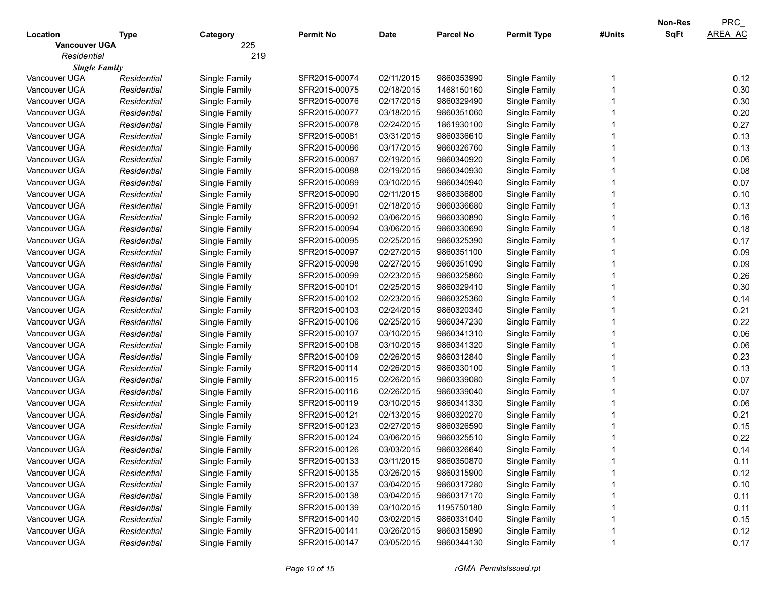| <b>SqFt</b><br><b>AREA AC</b><br><b>Parcel No</b><br>Location<br><b>Permit No</b><br>Date<br><b>Permit Type</b><br>#Units<br><b>Type</b><br>Category<br>225<br><b>Vancouver UGA</b><br>219<br>Residential<br><b>Single Family</b><br>0.12<br>02/11/2015<br>Vancouver UGA<br>Residential<br>Single Family<br>SFR2015-00074<br>9860353990<br>Single Family<br>0.30<br>Vancouver UGA<br>SFR2015-00075<br>02/18/2015<br>1468150160<br>Single Family<br>Residential<br>Single Family<br>0.30<br>Vancouver UGA<br>Residential<br>Single Family<br>SFR2015-00076<br>02/17/2015<br>9860329490<br>Single Family<br>0.20<br>Vancouver UGA<br>Residential<br>Single Family<br>SFR2015-00077<br>03/18/2015<br>9860351060<br>Single Family<br>0.27<br>Vancouver UGA<br>Residential<br>Single Family<br>SFR2015-00078<br>02/24/2015<br>1861930100<br>Single Family<br>0.13<br>Vancouver UGA<br>Residential<br>Single Family<br>SFR2015-00081<br>03/31/2015<br>9860336610<br>Single Family<br>0.13<br>03/17/2015<br>Vancouver UGA<br>Residential<br>Single Family<br>SFR2015-00086<br>9860326760<br>Single Family<br>0.06<br>Vancouver UGA<br>Residential<br>Single Family<br>SFR2015-00087<br>02/19/2015<br>9860340920<br>Single Family<br>0.08<br>Vancouver UGA<br>SFR2015-00088<br>02/19/2015<br>9860340930<br>Single Family<br>Residential<br>Single Family<br>0.07<br>Vancouver UGA<br>SFR2015-00089<br>03/10/2015<br>9860340940<br>Single Family<br>Residential<br>Single Family<br>0.10<br>Vancouver UGA<br>Residential<br>Single Family<br>SFR2015-00090<br>02/11/2015<br>9860336800<br>Single Family<br>0.13<br>Vancouver UGA<br>Residential<br>Single Family<br>SFR2015-00091<br>02/18/2015<br>9860336680<br>Single Family<br>03/06/2015<br>0.16<br>Vancouver UGA<br>Residential<br>Single Family<br>SFR2015-00092<br>9860330890<br>Single Family<br>0.18<br>03/06/2015<br>Vancouver UGA<br>Residential<br>Single Family<br>SFR2015-00094<br>9860330690<br>Single Family<br>02/25/2015<br>0.17<br>Vancouver UGA<br>Residential<br>Single Family<br>SFR2015-00095<br>9860325390<br>Single Family<br>0.09<br>02/27/2015<br>Vancouver UGA<br>Residential<br>Single Family<br>SFR2015-00097<br>9860351100<br>Single Family<br>02/27/2015<br>0.09<br>Vancouver UGA<br>SFR2015-00098<br>9860351090<br>Single Family<br>Residential<br>Single Family<br>02/23/2015<br>0.26<br>Vancouver UGA<br>Residential<br>Single Family<br>SFR2015-00099<br>9860325860<br>Single Family<br>0.30<br>02/25/2015<br>Vancouver UGA<br>Residential<br>Single Family<br>SFR2015-00101<br>9860329410<br>Single Family<br>02/23/2015<br>0.14<br>Vancouver UGA<br>Residential<br>Single Family<br>SFR2015-00102<br>9860325360<br>Single Family<br>02/24/2015<br>0.21<br>Vancouver UGA<br>Residential<br>Single Family<br>SFR2015-00103<br>9860320340<br>Single Family<br>02/25/2015<br>0.22<br>Vancouver UGA<br>Residential<br>Single Family<br>SFR2015-00106<br>9860347230<br>Single Family<br>0.06<br>03/10/2015<br>Vancouver UGA<br>Residential<br>Single Family<br>SFR2015-00107<br>9860341310<br>Single Family<br>03/10/2015<br>0.06<br>Vancouver UGA<br>SFR2015-00108<br>9860341320<br>Single Family<br>Residential<br>Single Family<br>Vancouver UGA<br>SFR2015-00109<br>02/26/2015<br>9860312840<br>Single Family<br>0.23<br>Residential<br>Single Family<br>02/26/2015<br>0.13<br>Vancouver UGA<br>Residential<br>Single Family<br>SFR2015-00114<br>9860330100<br>Single Family<br>02/26/2015<br>0.07<br>Vancouver UGA<br>Residential<br>Single Family<br>SFR2015-00115<br>9860339080<br>Single Family<br>02/26/2015<br>0.07<br>Vancouver UGA<br>Residential<br>Single Family<br>SFR2015-00116<br>9860339040<br>Single Family<br>03/10/2015<br>0.06<br>Vancouver UGA<br>Residential<br>Single Family<br>SFR2015-00119<br>9860341330<br>Single Family<br>02/13/2015<br>0.21<br>Vancouver UGA<br>Residential<br>Single Family<br>SFR2015-00121<br>9860320270<br>Single Family<br>02/27/2015<br>0.15<br>Vancouver UGA<br>Residential<br>Single Family<br>SFR2015-00123<br>9860326590<br>Single Family<br>03/06/2015<br>Vancouver UGA<br>SFR2015-00124<br>9860325510<br>Single Family<br>0.22<br>Residential<br>Single Family<br>Vancouver UGA<br>SFR2015-00126<br>03/03/2015<br>9860326640<br>Single Family<br>0.14<br>Residential<br>Single Family<br>Vancouver UGA<br>Single Family<br>SFR2015-00133<br>03/11/2015<br>9860350870<br>Single Family<br>0.11<br>Residential<br>Vancouver UGA<br>Single Family<br>SFR2015-00135<br>03/26/2015<br>Single Family<br>0.12<br>Residential<br>9860315900<br>Single Family<br>03/04/2015<br>Single Family<br>0.10<br>Vancouver UGA<br>Residential<br>SFR2015-00137<br>9860317280<br>Single Family<br>SFR2015-00138<br>03/04/2015<br>Single Family<br>Vancouver UGA<br>Residential<br>9860317170<br>0.11<br>Single Family<br>SFR2015-00139<br>03/10/2015<br>Single Family<br>0.11<br>Vancouver UGA<br>Residential<br>1195750180<br>03/02/2015<br>Single Family<br>Vancouver UGA<br>Single Family<br>SFR2015-00140<br>9860331040<br>0.15<br>Residential<br>SFR2015-00141<br>03/26/2015<br>Single Family<br>Vancouver UGA<br>Single Family<br>9860315890<br>0.12<br>Residential<br>Vancouver UGA<br>Single Family<br>SFR2015-00147<br>03/05/2015<br>9860344130<br>Single Family<br>0.17<br>Residential |  |  |  |  | <b>Non-Res</b> | PRC |
|------------------------------------------------------------------------------------------------------------------------------------------------------------------------------------------------------------------------------------------------------------------------------------------------------------------------------------------------------------------------------------------------------------------------------------------------------------------------------------------------------------------------------------------------------------------------------------------------------------------------------------------------------------------------------------------------------------------------------------------------------------------------------------------------------------------------------------------------------------------------------------------------------------------------------------------------------------------------------------------------------------------------------------------------------------------------------------------------------------------------------------------------------------------------------------------------------------------------------------------------------------------------------------------------------------------------------------------------------------------------------------------------------------------------------------------------------------------------------------------------------------------------------------------------------------------------------------------------------------------------------------------------------------------------------------------------------------------------------------------------------------------------------------------------------------------------------------------------------------------------------------------------------------------------------------------------------------------------------------------------------------------------------------------------------------------------------------------------------------------------------------------------------------------------------------------------------------------------------------------------------------------------------------------------------------------------------------------------------------------------------------------------------------------------------------------------------------------------------------------------------------------------------------------------------------------------------------------------------------------------------------------------------------------------------------------------------------------------------------------------------------------------------------------------------------------------------------------------------------------------------------------------------------------------------------------------------------------------------------------------------------------------------------------------------------------------------------------------------------------------------------------------------------------------------------------------------------------------------------------------------------------------------------------------------------------------------------------------------------------------------------------------------------------------------------------------------------------------------------------------------------------------------------------------------------------------------------------------------------------------------------------------------------------------------------------------------------------------------------------------------------------------------------------------------------------------------------------------------------------------------------------------------------------------------------------------------------------------------------------------------------------------------------------------------------------------------------------------------------------------------------------------------------------------------------------------------------------------------------------------------------------------------------------------------------------------------------------------------------------------------------------------------------------------------------------------------------------------------------------------------------------------------------------------------------------------------------------------------------------------------------------------------------------------------------------------------------------------------------------------------------------------------------------------------------------------------------------------------------------------------------------------------------------------------------------------------------------------------------------------------------------------------------------------------------------------------------------------------------------------------------------------------------------------------------------------------------------------------------------------------------------------------------------------------------------|--|--|--|--|----------------|-----|
|                                                                                                                                                                                                                                                                                                                                                                                                                                                                                                                                                                                                                                                                                                                                                                                                                                                                                                                                                                                                                                                                                                                                                                                                                                                                                                                                                                                                                                                                                                                                                                                                                                                                                                                                                                                                                                                                                                                                                                                                                                                                                                                                                                                                                                                                                                                                                                                                                                                                                                                                                                                                                                                                                                                                                                                                                                                                                                                                                                                                                                                                                                                                                                                                                                                                                                                                                                                                                                                                                                                                                                                                                                                                                                                                                                                                                                                                                                                                                                                                                                                                                                                                                                                                                                                                                                                                                                                                                                                                                                                                                                                                                                                                                                                                                                                                                                                                                                                                                                                                                                                                                                                                                                                                                                                                                                                  |  |  |  |  |                |     |
|                                                                                                                                                                                                                                                                                                                                                                                                                                                                                                                                                                                                                                                                                                                                                                                                                                                                                                                                                                                                                                                                                                                                                                                                                                                                                                                                                                                                                                                                                                                                                                                                                                                                                                                                                                                                                                                                                                                                                                                                                                                                                                                                                                                                                                                                                                                                                                                                                                                                                                                                                                                                                                                                                                                                                                                                                                                                                                                                                                                                                                                                                                                                                                                                                                                                                                                                                                                                                                                                                                                                                                                                                                                                                                                                                                                                                                                                                                                                                                                                                                                                                                                                                                                                                                                                                                                                                                                                                                                                                                                                                                                                                                                                                                                                                                                                                                                                                                                                                                                                                                                                                                                                                                                                                                                                                                                  |  |  |  |  |                |     |
|                                                                                                                                                                                                                                                                                                                                                                                                                                                                                                                                                                                                                                                                                                                                                                                                                                                                                                                                                                                                                                                                                                                                                                                                                                                                                                                                                                                                                                                                                                                                                                                                                                                                                                                                                                                                                                                                                                                                                                                                                                                                                                                                                                                                                                                                                                                                                                                                                                                                                                                                                                                                                                                                                                                                                                                                                                                                                                                                                                                                                                                                                                                                                                                                                                                                                                                                                                                                                                                                                                                                                                                                                                                                                                                                                                                                                                                                                                                                                                                                                                                                                                                                                                                                                                                                                                                                                                                                                                                                                                                                                                                                                                                                                                                                                                                                                                                                                                                                                                                                                                                                                                                                                                                                                                                                                                                  |  |  |  |  |                |     |
|                                                                                                                                                                                                                                                                                                                                                                                                                                                                                                                                                                                                                                                                                                                                                                                                                                                                                                                                                                                                                                                                                                                                                                                                                                                                                                                                                                                                                                                                                                                                                                                                                                                                                                                                                                                                                                                                                                                                                                                                                                                                                                                                                                                                                                                                                                                                                                                                                                                                                                                                                                                                                                                                                                                                                                                                                                                                                                                                                                                                                                                                                                                                                                                                                                                                                                                                                                                                                                                                                                                                                                                                                                                                                                                                                                                                                                                                                                                                                                                                                                                                                                                                                                                                                                                                                                                                                                                                                                                                                                                                                                                                                                                                                                                                                                                                                                                                                                                                                                                                                                                                                                                                                                                                                                                                                                                  |  |  |  |  |                |     |
|                                                                                                                                                                                                                                                                                                                                                                                                                                                                                                                                                                                                                                                                                                                                                                                                                                                                                                                                                                                                                                                                                                                                                                                                                                                                                                                                                                                                                                                                                                                                                                                                                                                                                                                                                                                                                                                                                                                                                                                                                                                                                                                                                                                                                                                                                                                                                                                                                                                                                                                                                                                                                                                                                                                                                                                                                                                                                                                                                                                                                                                                                                                                                                                                                                                                                                                                                                                                                                                                                                                                                                                                                                                                                                                                                                                                                                                                                                                                                                                                                                                                                                                                                                                                                                                                                                                                                                                                                                                                                                                                                                                                                                                                                                                                                                                                                                                                                                                                                                                                                                                                                                                                                                                                                                                                                                                  |  |  |  |  |                |     |
|                                                                                                                                                                                                                                                                                                                                                                                                                                                                                                                                                                                                                                                                                                                                                                                                                                                                                                                                                                                                                                                                                                                                                                                                                                                                                                                                                                                                                                                                                                                                                                                                                                                                                                                                                                                                                                                                                                                                                                                                                                                                                                                                                                                                                                                                                                                                                                                                                                                                                                                                                                                                                                                                                                                                                                                                                                                                                                                                                                                                                                                                                                                                                                                                                                                                                                                                                                                                                                                                                                                                                                                                                                                                                                                                                                                                                                                                                                                                                                                                                                                                                                                                                                                                                                                                                                                                                                                                                                                                                                                                                                                                                                                                                                                                                                                                                                                                                                                                                                                                                                                                                                                                                                                                                                                                                                                  |  |  |  |  |                |     |
|                                                                                                                                                                                                                                                                                                                                                                                                                                                                                                                                                                                                                                                                                                                                                                                                                                                                                                                                                                                                                                                                                                                                                                                                                                                                                                                                                                                                                                                                                                                                                                                                                                                                                                                                                                                                                                                                                                                                                                                                                                                                                                                                                                                                                                                                                                                                                                                                                                                                                                                                                                                                                                                                                                                                                                                                                                                                                                                                                                                                                                                                                                                                                                                                                                                                                                                                                                                                                                                                                                                                                                                                                                                                                                                                                                                                                                                                                                                                                                                                                                                                                                                                                                                                                                                                                                                                                                                                                                                                                                                                                                                                                                                                                                                                                                                                                                                                                                                                                                                                                                                                                                                                                                                                                                                                                                                  |  |  |  |  |                |     |
|                                                                                                                                                                                                                                                                                                                                                                                                                                                                                                                                                                                                                                                                                                                                                                                                                                                                                                                                                                                                                                                                                                                                                                                                                                                                                                                                                                                                                                                                                                                                                                                                                                                                                                                                                                                                                                                                                                                                                                                                                                                                                                                                                                                                                                                                                                                                                                                                                                                                                                                                                                                                                                                                                                                                                                                                                                                                                                                                                                                                                                                                                                                                                                                                                                                                                                                                                                                                                                                                                                                                                                                                                                                                                                                                                                                                                                                                                                                                                                                                                                                                                                                                                                                                                                                                                                                                                                                                                                                                                                                                                                                                                                                                                                                                                                                                                                                                                                                                                                                                                                                                                                                                                                                                                                                                                                                  |  |  |  |  |                |     |
|                                                                                                                                                                                                                                                                                                                                                                                                                                                                                                                                                                                                                                                                                                                                                                                                                                                                                                                                                                                                                                                                                                                                                                                                                                                                                                                                                                                                                                                                                                                                                                                                                                                                                                                                                                                                                                                                                                                                                                                                                                                                                                                                                                                                                                                                                                                                                                                                                                                                                                                                                                                                                                                                                                                                                                                                                                                                                                                                                                                                                                                                                                                                                                                                                                                                                                                                                                                                                                                                                                                                                                                                                                                                                                                                                                                                                                                                                                                                                                                                                                                                                                                                                                                                                                                                                                                                                                                                                                                                                                                                                                                                                                                                                                                                                                                                                                                                                                                                                                                                                                                                                                                                                                                                                                                                                                                  |  |  |  |  |                |     |
|                                                                                                                                                                                                                                                                                                                                                                                                                                                                                                                                                                                                                                                                                                                                                                                                                                                                                                                                                                                                                                                                                                                                                                                                                                                                                                                                                                                                                                                                                                                                                                                                                                                                                                                                                                                                                                                                                                                                                                                                                                                                                                                                                                                                                                                                                                                                                                                                                                                                                                                                                                                                                                                                                                                                                                                                                                                                                                                                                                                                                                                                                                                                                                                                                                                                                                                                                                                                                                                                                                                                                                                                                                                                                                                                                                                                                                                                                                                                                                                                                                                                                                                                                                                                                                                                                                                                                                                                                                                                                                                                                                                                                                                                                                                                                                                                                                                                                                                                                                                                                                                                                                                                                                                                                                                                                                                  |  |  |  |  |                |     |
|                                                                                                                                                                                                                                                                                                                                                                                                                                                                                                                                                                                                                                                                                                                                                                                                                                                                                                                                                                                                                                                                                                                                                                                                                                                                                                                                                                                                                                                                                                                                                                                                                                                                                                                                                                                                                                                                                                                                                                                                                                                                                                                                                                                                                                                                                                                                                                                                                                                                                                                                                                                                                                                                                                                                                                                                                                                                                                                                                                                                                                                                                                                                                                                                                                                                                                                                                                                                                                                                                                                                                                                                                                                                                                                                                                                                                                                                                                                                                                                                                                                                                                                                                                                                                                                                                                                                                                                                                                                                                                                                                                                                                                                                                                                                                                                                                                                                                                                                                                                                                                                                                                                                                                                                                                                                                                                  |  |  |  |  |                |     |
|                                                                                                                                                                                                                                                                                                                                                                                                                                                                                                                                                                                                                                                                                                                                                                                                                                                                                                                                                                                                                                                                                                                                                                                                                                                                                                                                                                                                                                                                                                                                                                                                                                                                                                                                                                                                                                                                                                                                                                                                                                                                                                                                                                                                                                                                                                                                                                                                                                                                                                                                                                                                                                                                                                                                                                                                                                                                                                                                                                                                                                                                                                                                                                                                                                                                                                                                                                                                                                                                                                                                                                                                                                                                                                                                                                                                                                                                                                                                                                                                                                                                                                                                                                                                                                                                                                                                                                                                                                                                                                                                                                                                                                                                                                                                                                                                                                                                                                                                                                                                                                                                                                                                                                                                                                                                                                                  |  |  |  |  |                |     |
|                                                                                                                                                                                                                                                                                                                                                                                                                                                                                                                                                                                                                                                                                                                                                                                                                                                                                                                                                                                                                                                                                                                                                                                                                                                                                                                                                                                                                                                                                                                                                                                                                                                                                                                                                                                                                                                                                                                                                                                                                                                                                                                                                                                                                                                                                                                                                                                                                                                                                                                                                                                                                                                                                                                                                                                                                                                                                                                                                                                                                                                                                                                                                                                                                                                                                                                                                                                                                                                                                                                                                                                                                                                                                                                                                                                                                                                                                                                                                                                                                                                                                                                                                                                                                                                                                                                                                                                                                                                                                                                                                                                                                                                                                                                                                                                                                                                                                                                                                                                                                                                                                                                                                                                                                                                                                                                  |  |  |  |  |                |     |
|                                                                                                                                                                                                                                                                                                                                                                                                                                                                                                                                                                                                                                                                                                                                                                                                                                                                                                                                                                                                                                                                                                                                                                                                                                                                                                                                                                                                                                                                                                                                                                                                                                                                                                                                                                                                                                                                                                                                                                                                                                                                                                                                                                                                                                                                                                                                                                                                                                                                                                                                                                                                                                                                                                                                                                                                                                                                                                                                                                                                                                                                                                                                                                                                                                                                                                                                                                                                                                                                                                                                                                                                                                                                                                                                                                                                                                                                                                                                                                                                                                                                                                                                                                                                                                                                                                                                                                                                                                                                                                                                                                                                                                                                                                                                                                                                                                                                                                                                                                                                                                                                                                                                                                                                                                                                                                                  |  |  |  |  |                |     |
|                                                                                                                                                                                                                                                                                                                                                                                                                                                                                                                                                                                                                                                                                                                                                                                                                                                                                                                                                                                                                                                                                                                                                                                                                                                                                                                                                                                                                                                                                                                                                                                                                                                                                                                                                                                                                                                                                                                                                                                                                                                                                                                                                                                                                                                                                                                                                                                                                                                                                                                                                                                                                                                                                                                                                                                                                                                                                                                                                                                                                                                                                                                                                                                                                                                                                                                                                                                                                                                                                                                                                                                                                                                                                                                                                                                                                                                                                                                                                                                                                                                                                                                                                                                                                                                                                                                                                                                                                                                                                                                                                                                                                                                                                                                                                                                                                                                                                                                                                                                                                                                                                                                                                                                                                                                                                                                  |  |  |  |  |                |     |
|                                                                                                                                                                                                                                                                                                                                                                                                                                                                                                                                                                                                                                                                                                                                                                                                                                                                                                                                                                                                                                                                                                                                                                                                                                                                                                                                                                                                                                                                                                                                                                                                                                                                                                                                                                                                                                                                                                                                                                                                                                                                                                                                                                                                                                                                                                                                                                                                                                                                                                                                                                                                                                                                                                                                                                                                                                                                                                                                                                                                                                                                                                                                                                                                                                                                                                                                                                                                                                                                                                                                                                                                                                                                                                                                                                                                                                                                                                                                                                                                                                                                                                                                                                                                                                                                                                                                                                                                                                                                                                                                                                                                                                                                                                                                                                                                                                                                                                                                                                                                                                                                                                                                                                                                                                                                                                                  |  |  |  |  |                |     |
|                                                                                                                                                                                                                                                                                                                                                                                                                                                                                                                                                                                                                                                                                                                                                                                                                                                                                                                                                                                                                                                                                                                                                                                                                                                                                                                                                                                                                                                                                                                                                                                                                                                                                                                                                                                                                                                                                                                                                                                                                                                                                                                                                                                                                                                                                                                                                                                                                                                                                                                                                                                                                                                                                                                                                                                                                                                                                                                                                                                                                                                                                                                                                                                                                                                                                                                                                                                                                                                                                                                                                                                                                                                                                                                                                                                                                                                                                                                                                                                                                                                                                                                                                                                                                                                                                                                                                                                                                                                                                                                                                                                                                                                                                                                                                                                                                                                                                                                                                                                                                                                                                                                                                                                                                                                                                                                  |  |  |  |  |                |     |
|                                                                                                                                                                                                                                                                                                                                                                                                                                                                                                                                                                                                                                                                                                                                                                                                                                                                                                                                                                                                                                                                                                                                                                                                                                                                                                                                                                                                                                                                                                                                                                                                                                                                                                                                                                                                                                                                                                                                                                                                                                                                                                                                                                                                                                                                                                                                                                                                                                                                                                                                                                                                                                                                                                                                                                                                                                                                                                                                                                                                                                                                                                                                                                                                                                                                                                                                                                                                                                                                                                                                                                                                                                                                                                                                                                                                                                                                                                                                                                                                                                                                                                                                                                                                                                                                                                                                                                                                                                                                                                                                                                                                                                                                                                                                                                                                                                                                                                                                                                                                                                                                                                                                                                                                                                                                                                                  |  |  |  |  |                |     |
|                                                                                                                                                                                                                                                                                                                                                                                                                                                                                                                                                                                                                                                                                                                                                                                                                                                                                                                                                                                                                                                                                                                                                                                                                                                                                                                                                                                                                                                                                                                                                                                                                                                                                                                                                                                                                                                                                                                                                                                                                                                                                                                                                                                                                                                                                                                                                                                                                                                                                                                                                                                                                                                                                                                                                                                                                                                                                                                                                                                                                                                                                                                                                                                                                                                                                                                                                                                                                                                                                                                                                                                                                                                                                                                                                                                                                                                                                                                                                                                                                                                                                                                                                                                                                                                                                                                                                                                                                                                                                                                                                                                                                                                                                                                                                                                                                                                                                                                                                                                                                                                                                                                                                                                                                                                                                                                  |  |  |  |  |                |     |
|                                                                                                                                                                                                                                                                                                                                                                                                                                                                                                                                                                                                                                                                                                                                                                                                                                                                                                                                                                                                                                                                                                                                                                                                                                                                                                                                                                                                                                                                                                                                                                                                                                                                                                                                                                                                                                                                                                                                                                                                                                                                                                                                                                                                                                                                                                                                                                                                                                                                                                                                                                                                                                                                                                                                                                                                                                                                                                                                                                                                                                                                                                                                                                                                                                                                                                                                                                                                                                                                                                                                                                                                                                                                                                                                                                                                                                                                                                                                                                                                                                                                                                                                                                                                                                                                                                                                                                                                                                                                                                                                                                                                                                                                                                                                                                                                                                                                                                                                                                                                                                                                                                                                                                                                                                                                                                                  |  |  |  |  |                |     |
|                                                                                                                                                                                                                                                                                                                                                                                                                                                                                                                                                                                                                                                                                                                                                                                                                                                                                                                                                                                                                                                                                                                                                                                                                                                                                                                                                                                                                                                                                                                                                                                                                                                                                                                                                                                                                                                                                                                                                                                                                                                                                                                                                                                                                                                                                                                                                                                                                                                                                                                                                                                                                                                                                                                                                                                                                                                                                                                                                                                                                                                                                                                                                                                                                                                                                                                                                                                                                                                                                                                                                                                                                                                                                                                                                                                                                                                                                                                                                                                                                                                                                                                                                                                                                                                                                                                                                                                                                                                                                                                                                                                                                                                                                                                                                                                                                                                                                                                                                                                                                                                                                                                                                                                                                                                                                                                  |  |  |  |  |                |     |
|                                                                                                                                                                                                                                                                                                                                                                                                                                                                                                                                                                                                                                                                                                                                                                                                                                                                                                                                                                                                                                                                                                                                                                                                                                                                                                                                                                                                                                                                                                                                                                                                                                                                                                                                                                                                                                                                                                                                                                                                                                                                                                                                                                                                                                                                                                                                                                                                                                                                                                                                                                                                                                                                                                                                                                                                                                                                                                                                                                                                                                                                                                                                                                                                                                                                                                                                                                                                                                                                                                                                                                                                                                                                                                                                                                                                                                                                                                                                                                                                                                                                                                                                                                                                                                                                                                                                                                                                                                                                                                                                                                                                                                                                                                                                                                                                                                                                                                                                                                                                                                                                                                                                                                                                                                                                                                                  |  |  |  |  |                |     |
|                                                                                                                                                                                                                                                                                                                                                                                                                                                                                                                                                                                                                                                                                                                                                                                                                                                                                                                                                                                                                                                                                                                                                                                                                                                                                                                                                                                                                                                                                                                                                                                                                                                                                                                                                                                                                                                                                                                                                                                                                                                                                                                                                                                                                                                                                                                                                                                                                                                                                                                                                                                                                                                                                                                                                                                                                                                                                                                                                                                                                                                                                                                                                                                                                                                                                                                                                                                                                                                                                                                                                                                                                                                                                                                                                                                                                                                                                                                                                                                                                                                                                                                                                                                                                                                                                                                                                                                                                                                                                                                                                                                                                                                                                                                                                                                                                                                                                                                                                                                                                                                                                                                                                                                                                                                                                                                  |  |  |  |  |                |     |
|                                                                                                                                                                                                                                                                                                                                                                                                                                                                                                                                                                                                                                                                                                                                                                                                                                                                                                                                                                                                                                                                                                                                                                                                                                                                                                                                                                                                                                                                                                                                                                                                                                                                                                                                                                                                                                                                                                                                                                                                                                                                                                                                                                                                                                                                                                                                                                                                                                                                                                                                                                                                                                                                                                                                                                                                                                                                                                                                                                                                                                                                                                                                                                                                                                                                                                                                                                                                                                                                                                                                                                                                                                                                                                                                                                                                                                                                                                                                                                                                                                                                                                                                                                                                                                                                                                                                                                                                                                                                                                                                                                                                                                                                                                                                                                                                                                                                                                                                                                                                                                                                                                                                                                                                                                                                                                                  |  |  |  |  |                |     |
|                                                                                                                                                                                                                                                                                                                                                                                                                                                                                                                                                                                                                                                                                                                                                                                                                                                                                                                                                                                                                                                                                                                                                                                                                                                                                                                                                                                                                                                                                                                                                                                                                                                                                                                                                                                                                                                                                                                                                                                                                                                                                                                                                                                                                                                                                                                                                                                                                                                                                                                                                                                                                                                                                                                                                                                                                                                                                                                                                                                                                                                                                                                                                                                                                                                                                                                                                                                                                                                                                                                                                                                                                                                                                                                                                                                                                                                                                                                                                                                                                                                                                                                                                                                                                                                                                                                                                                                                                                                                                                                                                                                                                                                                                                                                                                                                                                                                                                                                                                                                                                                                                                                                                                                                                                                                                                                  |  |  |  |  |                |     |
|                                                                                                                                                                                                                                                                                                                                                                                                                                                                                                                                                                                                                                                                                                                                                                                                                                                                                                                                                                                                                                                                                                                                                                                                                                                                                                                                                                                                                                                                                                                                                                                                                                                                                                                                                                                                                                                                                                                                                                                                                                                                                                                                                                                                                                                                                                                                                                                                                                                                                                                                                                                                                                                                                                                                                                                                                                                                                                                                                                                                                                                                                                                                                                                                                                                                                                                                                                                                                                                                                                                                                                                                                                                                                                                                                                                                                                                                                                                                                                                                                                                                                                                                                                                                                                                                                                                                                                                                                                                                                                                                                                                                                                                                                                                                                                                                                                                                                                                                                                                                                                                                                                                                                                                                                                                                                                                  |  |  |  |  |                |     |
|                                                                                                                                                                                                                                                                                                                                                                                                                                                                                                                                                                                                                                                                                                                                                                                                                                                                                                                                                                                                                                                                                                                                                                                                                                                                                                                                                                                                                                                                                                                                                                                                                                                                                                                                                                                                                                                                                                                                                                                                                                                                                                                                                                                                                                                                                                                                                                                                                                                                                                                                                                                                                                                                                                                                                                                                                                                                                                                                                                                                                                                                                                                                                                                                                                                                                                                                                                                                                                                                                                                                                                                                                                                                                                                                                                                                                                                                                                                                                                                                                                                                                                                                                                                                                                                                                                                                                                                                                                                                                                                                                                                                                                                                                                                                                                                                                                                                                                                                                                                                                                                                                                                                                                                                                                                                                                                  |  |  |  |  |                |     |
|                                                                                                                                                                                                                                                                                                                                                                                                                                                                                                                                                                                                                                                                                                                                                                                                                                                                                                                                                                                                                                                                                                                                                                                                                                                                                                                                                                                                                                                                                                                                                                                                                                                                                                                                                                                                                                                                                                                                                                                                                                                                                                                                                                                                                                                                                                                                                                                                                                                                                                                                                                                                                                                                                                                                                                                                                                                                                                                                                                                                                                                                                                                                                                                                                                                                                                                                                                                                                                                                                                                                                                                                                                                                                                                                                                                                                                                                                                                                                                                                                                                                                                                                                                                                                                                                                                                                                                                                                                                                                                                                                                                                                                                                                                                                                                                                                                                                                                                                                                                                                                                                                                                                                                                                                                                                                                                  |  |  |  |  |                |     |
|                                                                                                                                                                                                                                                                                                                                                                                                                                                                                                                                                                                                                                                                                                                                                                                                                                                                                                                                                                                                                                                                                                                                                                                                                                                                                                                                                                                                                                                                                                                                                                                                                                                                                                                                                                                                                                                                                                                                                                                                                                                                                                                                                                                                                                                                                                                                                                                                                                                                                                                                                                                                                                                                                                                                                                                                                                                                                                                                                                                                                                                                                                                                                                                                                                                                                                                                                                                                                                                                                                                                                                                                                                                                                                                                                                                                                                                                                                                                                                                                                                                                                                                                                                                                                                                                                                                                                                                                                                                                                                                                                                                                                                                                                                                                                                                                                                                                                                                                                                                                                                                                                                                                                                                                                                                                                                                  |  |  |  |  |                |     |
|                                                                                                                                                                                                                                                                                                                                                                                                                                                                                                                                                                                                                                                                                                                                                                                                                                                                                                                                                                                                                                                                                                                                                                                                                                                                                                                                                                                                                                                                                                                                                                                                                                                                                                                                                                                                                                                                                                                                                                                                                                                                                                                                                                                                                                                                                                                                                                                                                                                                                                                                                                                                                                                                                                                                                                                                                                                                                                                                                                                                                                                                                                                                                                                                                                                                                                                                                                                                                                                                                                                                                                                                                                                                                                                                                                                                                                                                                                                                                                                                                                                                                                                                                                                                                                                                                                                                                                                                                                                                                                                                                                                                                                                                                                                                                                                                                                                                                                                                                                                                                                                                                                                                                                                                                                                                                                                  |  |  |  |  |                |     |
|                                                                                                                                                                                                                                                                                                                                                                                                                                                                                                                                                                                                                                                                                                                                                                                                                                                                                                                                                                                                                                                                                                                                                                                                                                                                                                                                                                                                                                                                                                                                                                                                                                                                                                                                                                                                                                                                                                                                                                                                                                                                                                                                                                                                                                                                                                                                                                                                                                                                                                                                                                                                                                                                                                                                                                                                                                                                                                                                                                                                                                                                                                                                                                                                                                                                                                                                                                                                                                                                                                                                                                                                                                                                                                                                                                                                                                                                                                                                                                                                                                                                                                                                                                                                                                                                                                                                                                                                                                                                                                                                                                                                                                                                                                                                                                                                                                                                                                                                                                                                                                                                                                                                                                                                                                                                                                                  |  |  |  |  |                |     |
|                                                                                                                                                                                                                                                                                                                                                                                                                                                                                                                                                                                                                                                                                                                                                                                                                                                                                                                                                                                                                                                                                                                                                                                                                                                                                                                                                                                                                                                                                                                                                                                                                                                                                                                                                                                                                                                                                                                                                                                                                                                                                                                                                                                                                                                                                                                                                                                                                                                                                                                                                                                                                                                                                                                                                                                                                                                                                                                                                                                                                                                                                                                                                                                                                                                                                                                                                                                                                                                                                                                                                                                                                                                                                                                                                                                                                                                                                                                                                                                                                                                                                                                                                                                                                                                                                                                                                                                                                                                                                                                                                                                                                                                                                                                                                                                                                                                                                                                                                                                                                                                                                                                                                                                                                                                                                                                  |  |  |  |  |                |     |
|                                                                                                                                                                                                                                                                                                                                                                                                                                                                                                                                                                                                                                                                                                                                                                                                                                                                                                                                                                                                                                                                                                                                                                                                                                                                                                                                                                                                                                                                                                                                                                                                                                                                                                                                                                                                                                                                                                                                                                                                                                                                                                                                                                                                                                                                                                                                                                                                                                                                                                                                                                                                                                                                                                                                                                                                                                                                                                                                                                                                                                                                                                                                                                                                                                                                                                                                                                                                                                                                                                                                                                                                                                                                                                                                                                                                                                                                                                                                                                                                                                                                                                                                                                                                                                                                                                                                                                                                                                                                                                                                                                                                                                                                                                                                                                                                                                                                                                                                                                                                                                                                                                                                                                                                                                                                                                                  |  |  |  |  |                |     |
|                                                                                                                                                                                                                                                                                                                                                                                                                                                                                                                                                                                                                                                                                                                                                                                                                                                                                                                                                                                                                                                                                                                                                                                                                                                                                                                                                                                                                                                                                                                                                                                                                                                                                                                                                                                                                                                                                                                                                                                                                                                                                                                                                                                                                                                                                                                                                                                                                                                                                                                                                                                                                                                                                                                                                                                                                                                                                                                                                                                                                                                                                                                                                                                                                                                                                                                                                                                                                                                                                                                                                                                                                                                                                                                                                                                                                                                                                                                                                                                                                                                                                                                                                                                                                                                                                                                                                                                                                                                                                                                                                                                                                                                                                                                                                                                                                                                                                                                                                                                                                                                                                                                                                                                                                                                                                                                  |  |  |  |  |                |     |
|                                                                                                                                                                                                                                                                                                                                                                                                                                                                                                                                                                                                                                                                                                                                                                                                                                                                                                                                                                                                                                                                                                                                                                                                                                                                                                                                                                                                                                                                                                                                                                                                                                                                                                                                                                                                                                                                                                                                                                                                                                                                                                                                                                                                                                                                                                                                                                                                                                                                                                                                                                                                                                                                                                                                                                                                                                                                                                                                                                                                                                                                                                                                                                                                                                                                                                                                                                                                                                                                                                                                                                                                                                                                                                                                                                                                                                                                                                                                                                                                                                                                                                                                                                                                                                                                                                                                                                                                                                                                                                                                                                                                                                                                                                                                                                                                                                                                                                                                                                                                                                                                                                                                                                                                                                                                                                                  |  |  |  |  |                |     |
|                                                                                                                                                                                                                                                                                                                                                                                                                                                                                                                                                                                                                                                                                                                                                                                                                                                                                                                                                                                                                                                                                                                                                                                                                                                                                                                                                                                                                                                                                                                                                                                                                                                                                                                                                                                                                                                                                                                                                                                                                                                                                                                                                                                                                                                                                                                                                                                                                                                                                                                                                                                                                                                                                                                                                                                                                                                                                                                                                                                                                                                                                                                                                                                                                                                                                                                                                                                                                                                                                                                                                                                                                                                                                                                                                                                                                                                                                                                                                                                                                                                                                                                                                                                                                                                                                                                                                                                                                                                                                                                                                                                                                                                                                                                                                                                                                                                                                                                                                                                                                                                                                                                                                                                                                                                                                                                  |  |  |  |  |                |     |
|                                                                                                                                                                                                                                                                                                                                                                                                                                                                                                                                                                                                                                                                                                                                                                                                                                                                                                                                                                                                                                                                                                                                                                                                                                                                                                                                                                                                                                                                                                                                                                                                                                                                                                                                                                                                                                                                                                                                                                                                                                                                                                                                                                                                                                                                                                                                                                                                                                                                                                                                                                                                                                                                                                                                                                                                                                                                                                                                                                                                                                                                                                                                                                                                                                                                                                                                                                                                                                                                                                                                                                                                                                                                                                                                                                                                                                                                                                                                                                                                                                                                                                                                                                                                                                                                                                                                                                                                                                                                                                                                                                                                                                                                                                                                                                                                                                                                                                                                                                                                                                                                                                                                                                                                                                                                                                                  |  |  |  |  |                |     |
|                                                                                                                                                                                                                                                                                                                                                                                                                                                                                                                                                                                                                                                                                                                                                                                                                                                                                                                                                                                                                                                                                                                                                                                                                                                                                                                                                                                                                                                                                                                                                                                                                                                                                                                                                                                                                                                                                                                                                                                                                                                                                                                                                                                                                                                                                                                                                                                                                                                                                                                                                                                                                                                                                                                                                                                                                                                                                                                                                                                                                                                                                                                                                                                                                                                                                                                                                                                                                                                                                                                                                                                                                                                                                                                                                                                                                                                                                                                                                                                                                                                                                                                                                                                                                                                                                                                                                                                                                                                                                                                                                                                                                                                                                                                                                                                                                                                                                                                                                                                                                                                                                                                                                                                                                                                                                                                  |  |  |  |  |                |     |
|                                                                                                                                                                                                                                                                                                                                                                                                                                                                                                                                                                                                                                                                                                                                                                                                                                                                                                                                                                                                                                                                                                                                                                                                                                                                                                                                                                                                                                                                                                                                                                                                                                                                                                                                                                                                                                                                                                                                                                                                                                                                                                                                                                                                                                                                                                                                                                                                                                                                                                                                                                                                                                                                                                                                                                                                                                                                                                                                                                                                                                                                                                                                                                                                                                                                                                                                                                                                                                                                                                                                                                                                                                                                                                                                                                                                                                                                                                                                                                                                                                                                                                                                                                                                                                                                                                                                                                                                                                                                                                                                                                                                                                                                                                                                                                                                                                                                                                                                                                                                                                                                                                                                                                                                                                                                                                                  |  |  |  |  |                |     |
|                                                                                                                                                                                                                                                                                                                                                                                                                                                                                                                                                                                                                                                                                                                                                                                                                                                                                                                                                                                                                                                                                                                                                                                                                                                                                                                                                                                                                                                                                                                                                                                                                                                                                                                                                                                                                                                                                                                                                                                                                                                                                                                                                                                                                                                                                                                                                                                                                                                                                                                                                                                                                                                                                                                                                                                                                                                                                                                                                                                                                                                                                                                                                                                                                                                                                                                                                                                                                                                                                                                                                                                                                                                                                                                                                                                                                                                                                                                                                                                                                                                                                                                                                                                                                                                                                                                                                                                                                                                                                                                                                                                                                                                                                                                                                                                                                                                                                                                                                                                                                                                                                                                                                                                                                                                                                                                  |  |  |  |  |                |     |
|                                                                                                                                                                                                                                                                                                                                                                                                                                                                                                                                                                                                                                                                                                                                                                                                                                                                                                                                                                                                                                                                                                                                                                                                                                                                                                                                                                                                                                                                                                                                                                                                                                                                                                                                                                                                                                                                                                                                                                                                                                                                                                                                                                                                                                                                                                                                                                                                                                                                                                                                                                                                                                                                                                                                                                                                                                                                                                                                                                                                                                                                                                                                                                                                                                                                                                                                                                                                                                                                                                                                                                                                                                                                                                                                                                                                                                                                                                                                                                                                                                                                                                                                                                                                                                                                                                                                                                                                                                                                                                                                                                                                                                                                                                                                                                                                                                                                                                                                                                                                                                                                                                                                                                                                                                                                                                                  |  |  |  |  |                |     |
|                                                                                                                                                                                                                                                                                                                                                                                                                                                                                                                                                                                                                                                                                                                                                                                                                                                                                                                                                                                                                                                                                                                                                                                                                                                                                                                                                                                                                                                                                                                                                                                                                                                                                                                                                                                                                                                                                                                                                                                                                                                                                                                                                                                                                                                                                                                                                                                                                                                                                                                                                                                                                                                                                                                                                                                                                                                                                                                                                                                                                                                                                                                                                                                                                                                                                                                                                                                                                                                                                                                                                                                                                                                                                                                                                                                                                                                                                                                                                                                                                                                                                                                                                                                                                                                                                                                                                                                                                                                                                                                                                                                                                                                                                                                                                                                                                                                                                                                                                                                                                                                                                                                                                                                                                                                                                                                  |  |  |  |  |                |     |
|                                                                                                                                                                                                                                                                                                                                                                                                                                                                                                                                                                                                                                                                                                                                                                                                                                                                                                                                                                                                                                                                                                                                                                                                                                                                                                                                                                                                                                                                                                                                                                                                                                                                                                                                                                                                                                                                                                                                                                                                                                                                                                                                                                                                                                                                                                                                                                                                                                                                                                                                                                                                                                                                                                                                                                                                                                                                                                                                                                                                                                                                                                                                                                                                                                                                                                                                                                                                                                                                                                                                                                                                                                                                                                                                                                                                                                                                                                                                                                                                                                                                                                                                                                                                                                                                                                                                                                                                                                                                                                                                                                                                                                                                                                                                                                                                                                                                                                                                                                                                                                                                                                                                                                                                                                                                                                                  |  |  |  |  |                |     |
|                                                                                                                                                                                                                                                                                                                                                                                                                                                                                                                                                                                                                                                                                                                                                                                                                                                                                                                                                                                                                                                                                                                                                                                                                                                                                                                                                                                                                                                                                                                                                                                                                                                                                                                                                                                                                                                                                                                                                                                                                                                                                                                                                                                                                                                                                                                                                                                                                                                                                                                                                                                                                                                                                                                                                                                                                                                                                                                                                                                                                                                                                                                                                                                                                                                                                                                                                                                                                                                                                                                                                                                                                                                                                                                                                                                                                                                                                                                                                                                                                                                                                                                                                                                                                                                                                                                                                                                                                                                                                                                                                                                                                                                                                                                                                                                                                                                                                                                                                                                                                                                                                                                                                                                                                                                                                                                  |  |  |  |  |                |     |
|                                                                                                                                                                                                                                                                                                                                                                                                                                                                                                                                                                                                                                                                                                                                                                                                                                                                                                                                                                                                                                                                                                                                                                                                                                                                                                                                                                                                                                                                                                                                                                                                                                                                                                                                                                                                                                                                                                                                                                                                                                                                                                                                                                                                                                                                                                                                                                                                                                                                                                                                                                                                                                                                                                                                                                                                                                                                                                                                                                                                                                                                                                                                                                                                                                                                                                                                                                                                                                                                                                                                                                                                                                                                                                                                                                                                                                                                                                                                                                                                                                                                                                                                                                                                                                                                                                                                                                                                                                                                                                                                                                                                                                                                                                                                                                                                                                                                                                                                                                                                                                                                                                                                                                                                                                                                                                                  |  |  |  |  |                |     |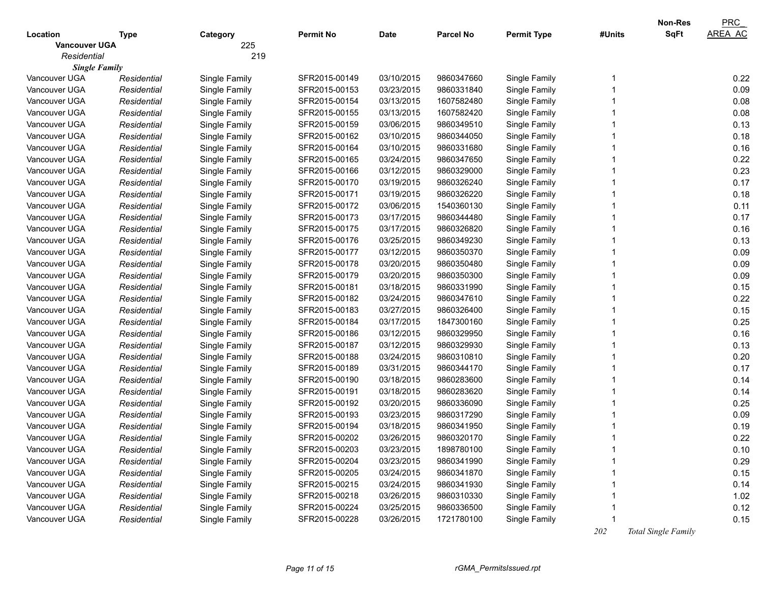| 225<br><b>Vancouver UGA</b><br>219<br>Residential<br><b>Single Family</b><br>0.22<br>03/10/2015<br>9860347660<br>Vancouver UGA<br>Residential<br>SFR2015-00149<br>Single Family<br>Single Family<br>1<br>03/23/2015<br>Vancouver UGA<br>SFR2015-00153<br>9860331840<br>Single Family<br>0.09<br>Residential<br>Single Family<br>03/13/2015<br>0.08<br>Vancouver UGA<br>Residential<br>Single Family<br>SFR2015-00154<br>1607582480<br>Single Family<br>0.08<br>03/13/2015<br>Vancouver UGA<br>Residential<br>Single Family<br>SFR2015-00155<br>1607582420<br>Single Family<br>0.13<br>03/06/2015<br>Vancouver UGA<br>Residential<br>Single Family<br>SFR2015-00159<br>9860349510<br>Single Family<br>0.18<br>03/10/2015<br>Vancouver UGA<br>Residential<br>Single Family<br>SFR2015-00162<br>9860344050<br>Single Family<br>0.16<br>03/10/2015<br>Vancouver UGA<br>Residential<br>Single Family<br>SFR2015-00164<br>9860331680<br>Single Family<br>0.22<br>03/24/2015<br>Vancouver UGA<br>Residential<br>Single Family<br>SFR2015-00165<br>9860347650<br>Single Family<br>03/12/2015<br>0.23<br>Vancouver UGA<br>SFR2015-00166<br>9860329000<br>Single Family<br>Residential<br>Single Family<br>0.17<br>Vancouver UGA<br>SFR2015-00170<br>03/19/2015<br>9860326240<br>Single Family<br>Residential<br>Single Family<br>0.18<br>Vancouver UGA<br>Residential<br>Single Family<br>SFR2015-00171<br>03/19/2015<br>9860326220<br>Single Family<br>0.11<br>Vancouver UGA<br>Residential<br>Single Family<br>SFR2015-00172<br>03/06/2015<br>1540360130<br>Single Family<br>0.17<br>Vancouver UGA<br>Residential<br>Single Family<br>SFR2015-00173<br>03/17/2015<br>9860344480<br>Single Family<br>0.16<br>Vancouver UGA<br>Residential<br>Single Family<br>SFR2015-00175<br>03/17/2015<br>9860326820<br>Single Family<br>0.13<br>Vancouver UGA<br>Residential<br>Single Family<br>SFR2015-00176<br>03/25/2015<br>9860349230<br>Single Family<br>0.09<br>Vancouver UGA<br>Residential<br>Single Family<br>SFR2015-00177<br>03/12/2015<br>9860350370<br>Single Family<br>0.09<br>Vancouver UGA<br>SFR2015-00178<br>03/20/2015<br>9860350480<br>Single Family<br>Residential<br>Single Family<br>0.09<br>Vancouver UGA<br>Residential<br>Single Family<br>SFR2015-00179<br>03/20/2015<br>9860350300<br>Single Family<br>0.15<br>Vancouver UGA<br>Residential<br>Single Family<br>SFR2015-00181<br>03/18/2015<br>9860331990<br>Single Family<br>0.22<br>Vancouver UGA<br>Residential<br>Single Family<br>SFR2015-00182<br>03/24/2015<br>9860347610<br>Single Family<br>0.15<br>Vancouver UGA<br>Residential<br>Single Family<br>SFR2015-00183<br>03/27/2015<br>9860326400<br>Single Family<br>0.25<br>Vancouver UGA<br>Residential<br>Single Family<br>SFR2015-00184<br>03/17/2015<br>1847300160<br>Single Family<br>0.16<br>Vancouver UGA<br>Residential<br>Single Family<br>SFR2015-00186<br>03/12/2015<br>9860329950<br>Single Family<br>0.13<br>Vancouver UGA<br>SFR2015-00187<br>03/12/2015<br>9860329930<br>Single Family<br>Residential<br>Single Family<br>0.20<br>Vancouver UGA<br>SFR2015-00188<br>03/24/2015<br>9860310810<br>Single Family<br>Residential<br>Single Family<br>0.17<br>Vancouver UGA<br>Residential<br>Single Family<br>SFR2015-00189<br>03/31/2015<br>9860344170<br>Single Family<br>0.14<br>Vancouver UGA<br>Residential<br>Single Family<br>SFR2015-00190<br>03/18/2015<br>9860283600<br>Single Family<br>0.14<br>Vancouver UGA<br>Residential<br>Single Family<br>SFR2015-00191<br>03/18/2015<br>9860283620<br>Single Family<br>0.25<br>Vancouver UGA<br>Residential<br>Single Family<br>SFR2015-00192<br>03/20/2015<br>9860336090<br>Single Family<br>0.09<br>Vancouver UGA<br>Residential<br>Single Family<br>SFR2015-00193<br>03/23/2015<br>9860317290<br>Single Family<br>Vancouver UGA<br>0.19<br>Residential<br>Single Family<br>SFR2015-00194<br>03/18/2015<br>9860341950<br>Single Family<br>Vancouver UGA<br>SFR2015-00202<br>03/26/2015<br>9860320170<br>Single Family<br>0.22<br>Single Family<br>Residential<br>Vancouver UGA<br>Single Family<br>SFR2015-00203<br>03/23/2015<br>1898780100<br>Single Family<br>0.10<br>Residential<br>SFR2015-00204<br>03/23/2015<br>Single Family<br>0.29<br>Vancouver UGA<br>Residential<br>Single Family<br>9860341990<br>Vancouver UGA<br>Single Family<br>03/24/2015<br>Single Family<br>0.15<br>Residential<br>SFR2015-00205<br>9860341870<br>0.14<br>Vancouver UGA<br>Single Family<br>03/24/2015<br>Single Family<br>Residential<br>SFR2015-00215<br>9860341930<br>1.02<br>Vancouver UGA<br>Single Family<br>SFR2015-00218<br>03/26/2015<br>Single Family<br>Residential<br>9860310330<br>0.12<br>Vancouver UGA<br>Single Family<br>SFR2015-00224<br>03/25/2015<br>Single Family<br>Residential<br>9860336500 |               |             |               |                  |             |                  |                    |        | Non-Res     | <b>PRC</b>     |
|------------------------------------------------------------------------------------------------------------------------------------------------------------------------------------------------------------------------------------------------------------------------------------------------------------------------------------------------------------------------------------------------------------------------------------------------------------------------------------------------------------------------------------------------------------------------------------------------------------------------------------------------------------------------------------------------------------------------------------------------------------------------------------------------------------------------------------------------------------------------------------------------------------------------------------------------------------------------------------------------------------------------------------------------------------------------------------------------------------------------------------------------------------------------------------------------------------------------------------------------------------------------------------------------------------------------------------------------------------------------------------------------------------------------------------------------------------------------------------------------------------------------------------------------------------------------------------------------------------------------------------------------------------------------------------------------------------------------------------------------------------------------------------------------------------------------------------------------------------------------------------------------------------------------------------------------------------------------------------------------------------------------------------------------------------------------------------------------------------------------------------------------------------------------------------------------------------------------------------------------------------------------------------------------------------------------------------------------------------------------------------------------------------------------------------------------------------------------------------------------------------------------------------------------------------------------------------------------------------------------------------------------------------------------------------------------------------------------------------------------------------------------------------------------------------------------------------------------------------------------------------------------------------------------------------------------------------------------------------------------------------------------------------------------------------------------------------------------------------------------------------------------------------------------------------------------------------------------------------------------------------------------------------------------------------------------------------------------------------------------------------------------------------------------------------------------------------------------------------------------------------------------------------------------------------------------------------------------------------------------------------------------------------------------------------------------------------------------------------------------------------------------------------------------------------------------------------------------------------------------------------------------------------------------------------------------------------------------------------------------------------------------------------------------------------------------------------------------------------------------------------------------------------------------------------------------------------------------------------------------------------------------------------------------------------------------------------------------------------------------------------------------------------------------------------------------------------------------------------------------------------------------------------------------------------------------------------------------------------------------------------------------------------------------------------------------------------------------------------------------------------------------------------------|---------------|-------------|---------------|------------------|-------------|------------------|--------------------|--------|-------------|----------------|
|                                                                                                                                                                                                                                                                                                                                                                                                                                                                                                                                                                                                                                                                                                                                                                                                                                                                                                                                                                                                                                                                                                                                                                                                                                                                                                                                                                                                                                                                                                                                                                                                                                                                                                                                                                                                                                                                                                                                                                                                                                                                                                                                                                                                                                                                                                                                                                                                                                                                                                                                                                                                                                                                                                                                                                                                                                                                                                                                                                                                                                                                                                                                                                                                                                                                                                                                                                                                                                                                                                                                                                                                                                                                                                                                                                                                                                                                                                                                                                                                                                                                                                                                                                                                                                                                                                                                                                                                                                                                                                                                                                                                                                                                                                                                                                                          | Location      | Type        | Category      | <b>Permit No</b> | <b>Date</b> | <b>Parcel No</b> | <b>Permit Type</b> | #Units | <b>SqFt</b> | <b>AREA AC</b> |
|                                                                                                                                                                                                                                                                                                                                                                                                                                                                                                                                                                                                                                                                                                                                                                                                                                                                                                                                                                                                                                                                                                                                                                                                                                                                                                                                                                                                                                                                                                                                                                                                                                                                                                                                                                                                                                                                                                                                                                                                                                                                                                                                                                                                                                                                                                                                                                                                                                                                                                                                                                                                                                                                                                                                                                                                                                                                                                                                                                                                                                                                                                                                                                                                                                                                                                                                                                                                                                                                                                                                                                                                                                                                                                                                                                                                                                                                                                                                                                                                                                                                                                                                                                                                                                                                                                                                                                                                                                                                                                                                                                                                                                                                                                                                                                                          |               |             |               |                  |             |                  |                    |        |             |                |
|                                                                                                                                                                                                                                                                                                                                                                                                                                                                                                                                                                                                                                                                                                                                                                                                                                                                                                                                                                                                                                                                                                                                                                                                                                                                                                                                                                                                                                                                                                                                                                                                                                                                                                                                                                                                                                                                                                                                                                                                                                                                                                                                                                                                                                                                                                                                                                                                                                                                                                                                                                                                                                                                                                                                                                                                                                                                                                                                                                                                                                                                                                                                                                                                                                                                                                                                                                                                                                                                                                                                                                                                                                                                                                                                                                                                                                                                                                                                                                                                                                                                                                                                                                                                                                                                                                                                                                                                                                                                                                                                                                                                                                                                                                                                                                                          |               |             |               |                  |             |                  |                    |        |             |                |
|                                                                                                                                                                                                                                                                                                                                                                                                                                                                                                                                                                                                                                                                                                                                                                                                                                                                                                                                                                                                                                                                                                                                                                                                                                                                                                                                                                                                                                                                                                                                                                                                                                                                                                                                                                                                                                                                                                                                                                                                                                                                                                                                                                                                                                                                                                                                                                                                                                                                                                                                                                                                                                                                                                                                                                                                                                                                                                                                                                                                                                                                                                                                                                                                                                                                                                                                                                                                                                                                                                                                                                                                                                                                                                                                                                                                                                                                                                                                                                                                                                                                                                                                                                                                                                                                                                                                                                                                                                                                                                                                                                                                                                                                                                                                                                                          |               |             |               |                  |             |                  |                    |        |             |                |
|                                                                                                                                                                                                                                                                                                                                                                                                                                                                                                                                                                                                                                                                                                                                                                                                                                                                                                                                                                                                                                                                                                                                                                                                                                                                                                                                                                                                                                                                                                                                                                                                                                                                                                                                                                                                                                                                                                                                                                                                                                                                                                                                                                                                                                                                                                                                                                                                                                                                                                                                                                                                                                                                                                                                                                                                                                                                                                                                                                                                                                                                                                                                                                                                                                                                                                                                                                                                                                                                                                                                                                                                                                                                                                                                                                                                                                                                                                                                                                                                                                                                                                                                                                                                                                                                                                                                                                                                                                                                                                                                                                                                                                                                                                                                                                                          |               |             |               |                  |             |                  |                    |        |             |                |
|                                                                                                                                                                                                                                                                                                                                                                                                                                                                                                                                                                                                                                                                                                                                                                                                                                                                                                                                                                                                                                                                                                                                                                                                                                                                                                                                                                                                                                                                                                                                                                                                                                                                                                                                                                                                                                                                                                                                                                                                                                                                                                                                                                                                                                                                                                                                                                                                                                                                                                                                                                                                                                                                                                                                                                                                                                                                                                                                                                                                                                                                                                                                                                                                                                                                                                                                                                                                                                                                                                                                                                                                                                                                                                                                                                                                                                                                                                                                                                                                                                                                                                                                                                                                                                                                                                                                                                                                                                                                                                                                                                                                                                                                                                                                                                                          |               |             |               |                  |             |                  |                    |        |             |                |
|                                                                                                                                                                                                                                                                                                                                                                                                                                                                                                                                                                                                                                                                                                                                                                                                                                                                                                                                                                                                                                                                                                                                                                                                                                                                                                                                                                                                                                                                                                                                                                                                                                                                                                                                                                                                                                                                                                                                                                                                                                                                                                                                                                                                                                                                                                                                                                                                                                                                                                                                                                                                                                                                                                                                                                                                                                                                                                                                                                                                                                                                                                                                                                                                                                                                                                                                                                                                                                                                                                                                                                                                                                                                                                                                                                                                                                                                                                                                                                                                                                                                                                                                                                                                                                                                                                                                                                                                                                                                                                                                                                                                                                                                                                                                                                                          |               |             |               |                  |             |                  |                    |        |             |                |
|                                                                                                                                                                                                                                                                                                                                                                                                                                                                                                                                                                                                                                                                                                                                                                                                                                                                                                                                                                                                                                                                                                                                                                                                                                                                                                                                                                                                                                                                                                                                                                                                                                                                                                                                                                                                                                                                                                                                                                                                                                                                                                                                                                                                                                                                                                                                                                                                                                                                                                                                                                                                                                                                                                                                                                                                                                                                                                                                                                                                                                                                                                                                                                                                                                                                                                                                                                                                                                                                                                                                                                                                                                                                                                                                                                                                                                                                                                                                                                                                                                                                                                                                                                                                                                                                                                                                                                                                                                                                                                                                                                                                                                                                                                                                                                                          |               |             |               |                  |             |                  |                    |        |             |                |
|                                                                                                                                                                                                                                                                                                                                                                                                                                                                                                                                                                                                                                                                                                                                                                                                                                                                                                                                                                                                                                                                                                                                                                                                                                                                                                                                                                                                                                                                                                                                                                                                                                                                                                                                                                                                                                                                                                                                                                                                                                                                                                                                                                                                                                                                                                                                                                                                                                                                                                                                                                                                                                                                                                                                                                                                                                                                                                                                                                                                                                                                                                                                                                                                                                                                                                                                                                                                                                                                                                                                                                                                                                                                                                                                                                                                                                                                                                                                                                                                                                                                                                                                                                                                                                                                                                                                                                                                                                                                                                                                                                                                                                                                                                                                                                                          |               |             |               |                  |             |                  |                    |        |             |                |
|                                                                                                                                                                                                                                                                                                                                                                                                                                                                                                                                                                                                                                                                                                                                                                                                                                                                                                                                                                                                                                                                                                                                                                                                                                                                                                                                                                                                                                                                                                                                                                                                                                                                                                                                                                                                                                                                                                                                                                                                                                                                                                                                                                                                                                                                                                                                                                                                                                                                                                                                                                                                                                                                                                                                                                                                                                                                                                                                                                                                                                                                                                                                                                                                                                                                                                                                                                                                                                                                                                                                                                                                                                                                                                                                                                                                                                                                                                                                                                                                                                                                                                                                                                                                                                                                                                                                                                                                                                                                                                                                                                                                                                                                                                                                                                                          |               |             |               |                  |             |                  |                    |        |             |                |
|                                                                                                                                                                                                                                                                                                                                                                                                                                                                                                                                                                                                                                                                                                                                                                                                                                                                                                                                                                                                                                                                                                                                                                                                                                                                                                                                                                                                                                                                                                                                                                                                                                                                                                                                                                                                                                                                                                                                                                                                                                                                                                                                                                                                                                                                                                                                                                                                                                                                                                                                                                                                                                                                                                                                                                                                                                                                                                                                                                                                                                                                                                                                                                                                                                                                                                                                                                                                                                                                                                                                                                                                                                                                                                                                                                                                                                                                                                                                                                                                                                                                                                                                                                                                                                                                                                                                                                                                                                                                                                                                                                                                                                                                                                                                                                                          |               |             |               |                  |             |                  |                    |        |             |                |
|                                                                                                                                                                                                                                                                                                                                                                                                                                                                                                                                                                                                                                                                                                                                                                                                                                                                                                                                                                                                                                                                                                                                                                                                                                                                                                                                                                                                                                                                                                                                                                                                                                                                                                                                                                                                                                                                                                                                                                                                                                                                                                                                                                                                                                                                                                                                                                                                                                                                                                                                                                                                                                                                                                                                                                                                                                                                                                                                                                                                                                                                                                                                                                                                                                                                                                                                                                                                                                                                                                                                                                                                                                                                                                                                                                                                                                                                                                                                                                                                                                                                                                                                                                                                                                                                                                                                                                                                                                                                                                                                                                                                                                                                                                                                                                                          |               |             |               |                  |             |                  |                    |        |             |                |
|                                                                                                                                                                                                                                                                                                                                                                                                                                                                                                                                                                                                                                                                                                                                                                                                                                                                                                                                                                                                                                                                                                                                                                                                                                                                                                                                                                                                                                                                                                                                                                                                                                                                                                                                                                                                                                                                                                                                                                                                                                                                                                                                                                                                                                                                                                                                                                                                                                                                                                                                                                                                                                                                                                                                                                                                                                                                                                                                                                                                                                                                                                                                                                                                                                                                                                                                                                                                                                                                                                                                                                                                                                                                                                                                                                                                                                                                                                                                                                                                                                                                                                                                                                                                                                                                                                                                                                                                                                                                                                                                                                                                                                                                                                                                                                                          |               |             |               |                  |             |                  |                    |        |             |                |
|                                                                                                                                                                                                                                                                                                                                                                                                                                                                                                                                                                                                                                                                                                                                                                                                                                                                                                                                                                                                                                                                                                                                                                                                                                                                                                                                                                                                                                                                                                                                                                                                                                                                                                                                                                                                                                                                                                                                                                                                                                                                                                                                                                                                                                                                                                                                                                                                                                                                                                                                                                                                                                                                                                                                                                                                                                                                                                                                                                                                                                                                                                                                                                                                                                                                                                                                                                                                                                                                                                                                                                                                                                                                                                                                                                                                                                                                                                                                                                                                                                                                                                                                                                                                                                                                                                                                                                                                                                                                                                                                                                                                                                                                                                                                                                                          |               |             |               |                  |             |                  |                    |        |             |                |
|                                                                                                                                                                                                                                                                                                                                                                                                                                                                                                                                                                                                                                                                                                                                                                                                                                                                                                                                                                                                                                                                                                                                                                                                                                                                                                                                                                                                                                                                                                                                                                                                                                                                                                                                                                                                                                                                                                                                                                                                                                                                                                                                                                                                                                                                                                                                                                                                                                                                                                                                                                                                                                                                                                                                                                                                                                                                                                                                                                                                                                                                                                                                                                                                                                                                                                                                                                                                                                                                                                                                                                                                                                                                                                                                                                                                                                                                                                                                                                                                                                                                                                                                                                                                                                                                                                                                                                                                                                                                                                                                                                                                                                                                                                                                                                                          |               |             |               |                  |             |                  |                    |        |             |                |
|                                                                                                                                                                                                                                                                                                                                                                                                                                                                                                                                                                                                                                                                                                                                                                                                                                                                                                                                                                                                                                                                                                                                                                                                                                                                                                                                                                                                                                                                                                                                                                                                                                                                                                                                                                                                                                                                                                                                                                                                                                                                                                                                                                                                                                                                                                                                                                                                                                                                                                                                                                                                                                                                                                                                                                                                                                                                                                                                                                                                                                                                                                                                                                                                                                                                                                                                                                                                                                                                                                                                                                                                                                                                                                                                                                                                                                                                                                                                                                                                                                                                                                                                                                                                                                                                                                                                                                                                                                                                                                                                                                                                                                                                                                                                                                                          |               |             |               |                  |             |                  |                    |        |             |                |
|                                                                                                                                                                                                                                                                                                                                                                                                                                                                                                                                                                                                                                                                                                                                                                                                                                                                                                                                                                                                                                                                                                                                                                                                                                                                                                                                                                                                                                                                                                                                                                                                                                                                                                                                                                                                                                                                                                                                                                                                                                                                                                                                                                                                                                                                                                                                                                                                                                                                                                                                                                                                                                                                                                                                                                                                                                                                                                                                                                                                                                                                                                                                                                                                                                                                                                                                                                                                                                                                                                                                                                                                                                                                                                                                                                                                                                                                                                                                                                                                                                                                                                                                                                                                                                                                                                                                                                                                                                                                                                                                                                                                                                                                                                                                                                                          |               |             |               |                  |             |                  |                    |        |             |                |
|                                                                                                                                                                                                                                                                                                                                                                                                                                                                                                                                                                                                                                                                                                                                                                                                                                                                                                                                                                                                                                                                                                                                                                                                                                                                                                                                                                                                                                                                                                                                                                                                                                                                                                                                                                                                                                                                                                                                                                                                                                                                                                                                                                                                                                                                                                                                                                                                                                                                                                                                                                                                                                                                                                                                                                                                                                                                                                                                                                                                                                                                                                                                                                                                                                                                                                                                                                                                                                                                                                                                                                                                                                                                                                                                                                                                                                                                                                                                                                                                                                                                                                                                                                                                                                                                                                                                                                                                                                                                                                                                                                                                                                                                                                                                                                                          |               |             |               |                  |             |                  |                    |        |             |                |
|                                                                                                                                                                                                                                                                                                                                                                                                                                                                                                                                                                                                                                                                                                                                                                                                                                                                                                                                                                                                                                                                                                                                                                                                                                                                                                                                                                                                                                                                                                                                                                                                                                                                                                                                                                                                                                                                                                                                                                                                                                                                                                                                                                                                                                                                                                                                                                                                                                                                                                                                                                                                                                                                                                                                                                                                                                                                                                                                                                                                                                                                                                                                                                                                                                                                                                                                                                                                                                                                                                                                                                                                                                                                                                                                                                                                                                                                                                                                                                                                                                                                                                                                                                                                                                                                                                                                                                                                                                                                                                                                                                                                                                                                                                                                                                                          |               |             |               |                  |             |                  |                    |        |             |                |
|                                                                                                                                                                                                                                                                                                                                                                                                                                                                                                                                                                                                                                                                                                                                                                                                                                                                                                                                                                                                                                                                                                                                                                                                                                                                                                                                                                                                                                                                                                                                                                                                                                                                                                                                                                                                                                                                                                                                                                                                                                                                                                                                                                                                                                                                                                                                                                                                                                                                                                                                                                                                                                                                                                                                                                                                                                                                                                                                                                                                                                                                                                                                                                                                                                                                                                                                                                                                                                                                                                                                                                                                                                                                                                                                                                                                                                                                                                                                                                                                                                                                                                                                                                                                                                                                                                                                                                                                                                                                                                                                                                                                                                                                                                                                                                                          |               |             |               |                  |             |                  |                    |        |             |                |
|                                                                                                                                                                                                                                                                                                                                                                                                                                                                                                                                                                                                                                                                                                                                                                                                                                                                                                                                                                                                                                                                                                                                                                                                                                                                                                                                                                                                                                                                                                                                                                                                                                                                                                                                                                                                                                                                                                                                                                                                                                                                                                                                                                                                                                                                                                                                                                                                                                                                                                                                                                                                                                                                                                                                                                                                                                                                                                                                                                                                                                                                                                                                                                                                                                                                                                                                                                                                                                                                                                                                                                                                                                                                                                                                                                                                                                                                                                                                                                                                                                                                                                                                                                                                                                                                                                                                                                                                                                                                                                                                                                                                                                                                                                                                                                                          |               |             |               |                  |             |                  |                    |        |             |                |
|                                                                                                                                                                                                                                                                                                                                                                                                                                                                                                                                                                                                                                                                                                                                                                                                                                                                                                                                                                                                                                                                                                                                                                                                                                                                                                                                                                                                                                                                                                                                                                                                                                                                                                                                                                                                                                                                                                                                                                                                                                                                                                                                                                                                                                                                                                                                                                                                                                                                                                                                                                                                                                                                                                                                                                                                                                                                                                                                                                                                                                                                                                                                                                                                                                                                                                                                                                                                                                                                                                                                                                                                                                                                                                                                                                                                                                                                                                                                                                                                                                                                                                                                                                                                                                                                                                                                                                                                                                                                                                                                                                                                                                                                                                                                                                                          |               |             |               |                  |             |                  |                    |        |             |                |
|                                                                                                                                                                                                                                                                                                                                                                                                                                                                                                                                                                                                                                                                                                                                                                                                                                                                                                                                                                                                                                                                                                                                                                                                                                                                                                                                                                                                                                                                                                                                                                                                                                                                                                                                                                                                                                                                                                                                                                                                                                                                                                                                                                                                                                                                                                                                                                                                                                                                                                                                                                                                                                                                                                                                                                                                                                                                                                                                                                                                                                                                                                                                                                                                                                                                                                                                                                                                                                                                                                                                                                                                                                                                                                                                                                                                                                                                                                                                                                                                                                                                                                                                                                                                                                                                                                                                                                                                                                                                                                                                                                                                                                                                                                                                                                                          |               |             |               |                  |             |                  |                    |        |             |                |
|                                                                                                                                                                                                                                                                                                                                                                                                                                                                                                                                                                                                                                                                                                                                                                                                                                                                                                                                                                                                                                                                                                                                                                                                                                                                                                                                                                                                                                                                                                                                                                                                                                                                                                                                                                                                                                                                                                                                                                                                                                                                                                                                                                                                                                                                                                                                                                                                                                                                                                                                                                                                                                                                                                                                                                                                                                                                                                                                                                                                                                                                                                                                                                                                                                                                                                                                                                                                                                                                                                                                                                                                                                                                                                                                                                                                                                                                                                                                                                                                                                                                                                                                                                                                                                                                                                                                                                                                                                                                                                                                                                                                                                                                                                                                                                                          |               |             |               |                  |             |                  |                    |        |             |                |
|                                                                                                                                                                                                                                                                                                                                                                                                                                                                                                                                                                                                                                                                                                                                                                                                                                                                                                                                                                                                                                                                                                                                                                                                                                                                                                                                                                                                                                                                                                                                                                                                                                                                                                                                                                                                                                                                                                                                                                                                                                                                                                                                                                                                                                                                                                                                                                                                                                                                                                                                                                                                                                                                                                                                                                                                                                                                                                                                                                                                                                                                                                                                                                                                                                                                                                                                                                                                                                                                                                                                                                                                                                                                                                                                                                                                                                                                                                                                                                                                                                                                                                                                                                                                                                                                                                                                                                                                                                                                                                                                                                                                                                                                                                                                                                                          |               |             |               |                  |             |                  |                    |        |             |                |
|                                                                                                                                                                                                                                                                                                                                                                                                                                                                                                                                                                                                                                                                                                                                                                                                                                                                                                                                                                                                                                                                                                                                                                                                                                                                                                                                                                                                                                                                                                                                                                                                                                                                                                                                                                                                                                                                                                                                                                                                                                                                                                                                                                                                                                                                                                                                                                                                                                                                                                                                                                                                                                                                                                                                                                                                                                                                                                                                                                                                                                                                                                                                                                                                                                                                                                                                                                                                                                                                                                                                                                                                                                                                                                                                                                                                                                                                                                                                                                                                                                                                                                                                                                                                                                                                                                                                                                                                                                                                                                                                                                                                                                                                                                                                                                                          |               |             |               |                  |             |                  |                    |        |             |                |
|                                                                                                                                                                                                                                                                                                                                                                                                                                                                                                                                                                                                                                                                                                                                                                                                                                                                                                                                                                                                                                                                                                                                                                                                                                                                                                                                                                                                                                                                                                                                                                                                                                                                                                                                                                                                                                                                                                                                                                                                                                                                                                                                                                                                                                                                                                                                                                                                                                                                                                                                                                                                                                                                                                                                                                                                                                                                                                                                                                                                                                                                                                                                                                                                                                                                                                                                                                                                                                                                                                                                                                                                                                                                                                                                                                                                                                                                                                                                                                                                                                                                                                                                                                                                                                                                                                                                                                                                                                                                                                                                                                                                                                                                                                                                                                                          |               |             |               |                  |             |                  |                    |        |             |                |
|                                                                                                                                                                                                                                                                                                                                                                                                                                                                                                                                                                                                                                                                                                                                                                                                                                                                                                                                                                                                                                                                                                                                                                                                                                                                                                                                                                                                                                                                                                                                                                                                                                                                                                                                                                                                                                                                                                                                                                                                                                                                                                                                                                                                                                                                                                                                                                                                                                                                                                                                                                                                                                                                                                                                                                                                                                                                                                                                                                                                                                                                                                                                                                                                                                                                                                                                                                                                                                                                                                                                                                                                                                                                                                                                                                                                                                                                                                                                                                                                                                                                                                                                                                                                                                                                                                                                                                                                                                                                                                                                                                                                                                                                                                                                                                                          |               |             |               |                  |             |                  |                    |        |             |                |
|                                                                                                                                                                                                                                                                                                                                                                                                                                                                                                                                                                                                                                                                                                                                                                                                                                                                                                                                                                                                                                                                                                                                                                                                                                                                                                                                                                                                                                                                                                                                                                                                                                                                                                                                                                                                                                                                                                                                                                                                                                                                                                                                                                                                                                                                                                                                                                                                                                                                                                                                                                                                                                                                                                                                                                                                                                                                                                                                                                                                                                                                                                                                                                                                                                                                                                                                                                                                                                                                                                                                                                                                                                                                                                                                                                                                                                                                                                                                                                                                                                                                                                                                                                                                                                                                                                                                                                                                                                                                                                                                                                                                                                                                                                                                                                                          |               |             |               |                  |             |                  |                    |        |             |                |
|                                                                                                                                                                                                                                                                                                                                                                                                                                                                                                                                                                                                                                                                                                                                                                                                                                                                                                                                                                                                                                                                                                                                                                                                                                                                                                                                                                                                                                                                                                                                                                                                                                                                                                                                                                                                                                                                                                                                                                                                                                                                                                                                                                                                                                                                                                                                                                                                                                                                                                                                                                                                                                                                                                                                                                                                                                                                                                                                                                                                                                                                                                                                                                                                                                                                                                                                                                                                                                                                                                                                                                                                                                                                                                                                                                                                                                                                                                                                                                                                                                                                                                                                                                                                                                                                                                                                                                                                                                                                                                                                                                                                                                                                                                                                                                                          |               |             |               |                  |             |                  |                    |        |             |                |
|                                                                                                                                                                                                                                                                                                                                                                                                                                                                                                                                                                                                                                                                                                                                                                                                                                                                                                                                                                                                                                                                                                                                                                                                                                                                                                                                                                                                                                                                                                                                                                                                                                                                                                                                                                                                                                                                                                                                                                                                                                                                                                                                                                                                                                                                                                                                                                                                                                                                                                                                                                                                                                                                                                                                                                                                                                                                                                                                                                                                                                                                                                                                                                                                                                                                                                                                                                                                                                                                                                                                                                                                                                                                                                                                                                                                                                                                                                                                                                                                                                                                                                                                                                                                                                                                                                                                                                                                                                                                                                                                                                                                                                                                                                                                                                                          |               |             |               |                  |             |                  |                    |        |             |                |
|                                                                                                                                                                                                                                                                                                                                                                                                                                                                                                                                                                                                                                                                                                                                                                                                                                                                                                                                                                                                                                                                                                                                                                                                                                                                                                                                                                                                                                                                                                                                                                                                                                                                                                                                                                                                                                                                                                                                                                                                                                                                                                                                                                                                                                                                                                                                                                                                                                                                                                                                                                                                                                                                                                                                                                                                                                                                                                                                                                                                                                                                                                                                                                                                                                                                                                                                                                                                                                                                                                                                                                                                                                                                                                                                                                                                                                                                                                                                                                                                                                                                                                                                                                                                                                                                                                                                                                                                                                                                                                                                                                                                                                                                                                                                                                                          |               |             |               |                  |             |                  |                    |        |             |                |
|                                                                                                                                                                                                                                                                                                                                                                                                                                                                                                                                                                                                                                                                                                                                                                                                                                                                                                                                                                                                                                                                                                                                                                                                                                                                                                                                                                                                                                                                                                                                                                                                                                                                                                                                                                                                                                                                                                                                                                                                                                                                                                                                                                                                                                                                                                                                                                                                                                                                                                                                                                                                                                                                                                                                                                                                                                                                                                                                                                                                                                                                                                                                                                                                                                                                                                                                                                                                                                                                                                                                                                                                                                                                                                                                                                                                                                                                                                                                                                                                                                                                                                                                                                                                                                                                                                                                                                                                                                                                                                                                                                                                                                                                                                                                                                                          |               |             |               |                  |             |                  |                    |        |             |                |
|                                                                                                                                                                                                                                                                                                                                                                                                                                                                                                                                                                                                                                                                                                                                                                                                                                                                                                                                                                                                                                                                                                                                                                                                                                                                                                                                                                                                                                                                                                                                                                                                                                                                                                                                                                                                                                                                                                                                                                                                                                                                                                                                                                                                                                                                                                                                                                                                                                                                                                                                                                                                                                                                                                                                                                                                                                                                                                                                                                                                                                                                                                                                                                                                                                                                                                                                                                                                                                                                                                                                                                                                                                                                                                                                                                                                                                                                                                                                                                                                                                                                                                                                                                                                                                                                                                                                                                                                                                                                                                                                                                                                                                                                                                                                                                                          |               |             |               |                  |             |                  |                    |        |             |                |
|                                                                                                                                                                                                                                                                                                                                                                                                                                                                                                                                                                                                                                                                                                                                                                                                                                                                                                                                                                                                                                                                                                                                                                                                                                                                                                                                                                                                                                                                                                                                                                                                                                                                                                                                                                                                                                                                                                                                                                                                                                                                                                                                                                                                                                                                                                                                                                                                                                                                                                                                                                                                                                                                                                                                                                                                                                                                                                                                                                                                                                                                                                                                                                                                                                                                                                                                                                                                                                                                                                                                                                                                                                                                                                                                                                                                                                                                                                                                                                                                                                                                                                                                                                                                                                                                                                                                                                                                                                                                                                                                                                                                                                                                                                                                                                                          |               |             |               |                  |             |                  |                    |        |             |                |
|                                                                                                                                                                                                                                                                                                                                                                                                                                                                                                                                                                                                                                                                                                                                                                                                                                                                                                                                                                                                                                                                                                                                                                                                                                                                                                                                                                                                                                                                                                                                                                                                                                                                                                                                                                                                                                                                                                                                                                                                                                                                                                                                                                                                                                                                                                                                                                                                                                                                                                                                                                                                                                                                                                                                                                                                                                                                                                                                                                                                                                                                                                                                                                                                                                                                                                                                                                                                                                                                                                                                                                                                                                                                                                                                                                                                                                                                                                                                                                                                                                                                                                                                                                                                                                                                                                                                                                                                                                                                                                                                                                                                                                                                                                                                                                                          |               |             |               |                  |             |                  |                    |        |             |                |
|                                                                                                                                                                                                                                                                                                                                                                                                                                                                                                                                                                                                                                                                                                                                                                                                                                                                                                                                                                                                                                                                                                                                                                                                                                                                                                                                                                                                                                                                                                                                                                                                                                                                                                                                                                                                                                                                                                                                                                                                                                                                                                                                                                                                                                                                                                                                                                                                                                                                                                                                                                                                                                                                                                                                                                                                                                                                                                                                                                                                                                                                                                                                                                                                                                                                                                                                                                                                                                                                                                                                                                                                                                                                                                                                                                                                                                                                                                                                                                                                                                                                                                                                                                                                                                                                                                                                                                                                                                                                                                                                                                                                                                                                                                                                                                                          |               |             |               |                  |             |                  |                    |        |             |                |
|                                                                                                                                                                                                                                                                                                                                                                                                                                                                                                                                                                                                                                                                                                                                                                                                                                                                                                                                                                                                                                                                                                                                                                                                                                                                                                                                                                                                                                                                                                                                                                                                                                                                                                                                                                                                                                                                                                                                                                                                                                                                                                                                                                                                                                                                                                                                                                                                                                                                                                                                                                                                                                                                                                                                                                                                                                                                                                                                                                                                                                                                                                                                                                                                                                                                                                                                                                                                                                                                                                                                                                                                                                                                                                                                                                                                                                                                                                                                                                                                                                                                                                                                                                                                                                                                                                                                                                                                                                                                                                                                                                                                                                                                                                                                                                                          |               |             |               |                  |             |                  |                    |        |             |                |
|                                                                                                                                                                                                                                                                                                                                                                                                                                                                                                                                                                                                                                                                                                                                                                                                                                                                                                                                                                                                                                                                                                                                                                                                                                                                                                                                                                                                                                                                                                                                                                                                                                                                                                                                                                                                                                                                                                                                                                                                                                                                                                                                                                                                                                                                                                                                                                                                                                                                                                                                                                                                                                                                                                                                                                                                                                                                                                                                                                                                                                                                                                                                                                                                                                                                                                                                                                                                                                                                                                                                                                                                                                                                                                                                                                                                                                                                                                                                                                                                                                                                                                                                                                                                                                                                                                                                                                                                                                                                                                                                                                                                                                                                                                                                                                                          |               |             |               |                  |             |                  |                    |        |             |                |
|                                                                                                                                                                                                                                                                                                                                                                                                                                                                                                                                                                                                                                                                                                                                                                                                                                                                                                                                                                                                                                                                                                                                                                                                                                                                                                                                                                                                                                                                                                                                                                                                                                                                                                                                                                                                                                                                                                                                                                                                                                                                                                                                                                                                                                                                                                                                                                                                                                                                                                                                                                                                                                                                                                                                                                                                                                                                                                                                                                                                                                                                                                                                                                                                                                                                                                                                                                                                                                                                                                                                                                                                                                                                                                                                                                                                                                                                                                                                                                                                                                                                                                                                                                                                                                                                                                                                                                                                                                                                                                                                                                                                                                                                                                                                                                                          |               |             |               |                  |             |                  |                    |        |             |                |
|                                                                                                                                                                                                                                                                                                                                                                                                                                                                                                                                                                                                                                                                                                                                                                                                                                                                                                                                                                                                                                                                                                                                                                                                                                                                                                                                                                                                                                                                                                                                                                                                                                                                                                                                                                                                                                                                                                                                                                                                                                                                                                                                                                                                                                                                                                                                                                                                                                                                                                                                                                                                                                                                                                                                                                                                                                                                                                                                                                                                                                                                                                                                                                                                                                                                                                                                                                                                                                                                                                                                                                                                                                                                                                                                                                                                                                                                                                                                                                                                                                                                                                                                                                                                                                                                                                                                                                                                                                                                                                                                                                                                                                                                                                                                                                                          |               |             |               |                  |             |                  |                    |        |             |                |
|                                                                                                                                                                                                                                                                                                                                                                                                                                                                                                                                                                                                                                                                                                                                                                                                                                                                                                                                                                                                                                                                                                                                                                                                                                                                                                                                                                                                                                                                                                                                                                                                                                                                                                                                                                                                                                                                                                                                                                                                                                                                                                                                                                                                                                                                                                                                                                                                                                                                                                                                                                                                                                                                                                                                                                                                                                                                                                                                                                                                                                                                                                                                                                                                                                                                                                                                                                                                                                                                                                                                                                                                                                                                                                                                                                                                                                                                                                                                                                                                                                                                                                                                                                                                                                                                                                                                                                                                                                                                                                                                                                                                                                                                                                                                                                                          | Vancouver UGA | Residential | Single Family | SFR2015-00228    | 03/26/2015  | 1721780100       | Single Family      |        |             | 0.15           |

 *202 Total Single Family*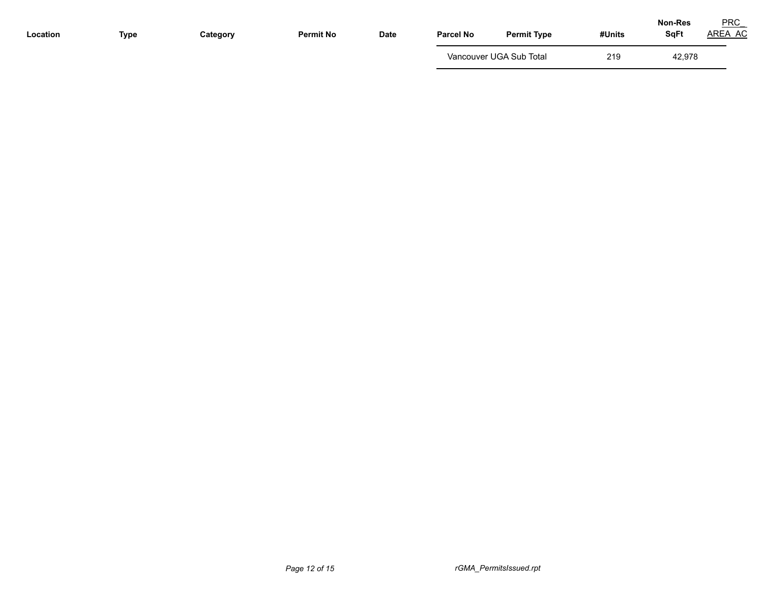| Location | <b>Type</b> | Category | <b>Permit No</b> | Date | <b>Parcel No</b> | <b>Permit Type</b>      | #Units | <b>Non-Res</b><br><b>SqFt</b> | <b>PRC</b><br>AREA AC |
|----------|-------------|----------|------------------|------|------------------|-------------------------|--------|-------------------------------|-----------------------|
|          |             |          |                  |      |                  | Vancouver UGA Sub Total | 219    | 42,978                        |                       |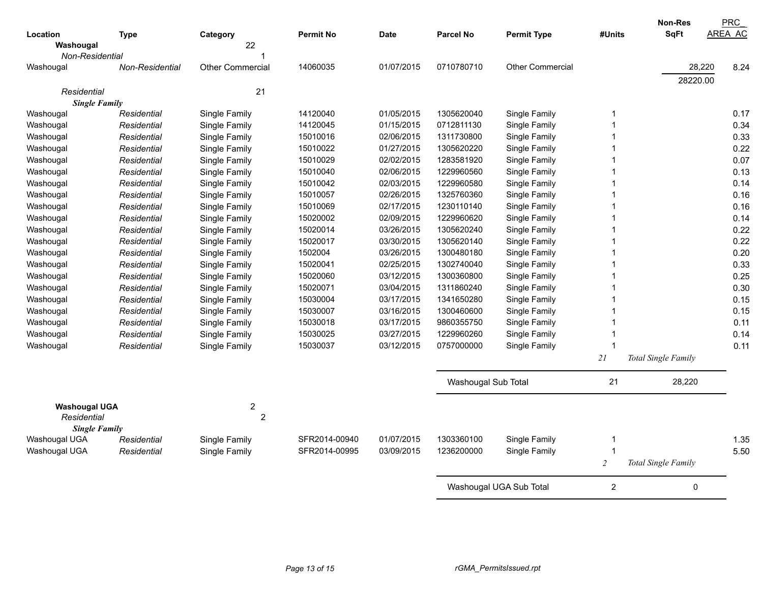|                      |                        |                         |                  |             |                     |                         |                  | <b>Non-Res</b>      | PRC            |
|----------------------|------------------------|-------------------------|------------------|-------------|---------------------|-------------------------|------------------|---------------------|----------------|
| Location             | <b>Type</b>            | Category                | <b>Permit No</b> | <b>Date</b> | <b>Parcel No</b>    | <b>Permit Type</b>      | #Units           | <b>SqFt</b>         | <b>AREA AC</b> |
| Washougal            |                        | 22                      |                  |             |                     |                         |                  |                     |                |
| Non-Residential      |                        |                         |                  |             |                     |                         |                  |                     |                |
| Washougal            | <b>Non-Residential</b> | <b>Other Commercial</b> | 14060035         | 01/07/2015  | 0710780710          | <b>Other Commercial</b> |                  | 28,220              | 8.24           |
|                      |                        |                         |                  |             |                     |                         |                  | 28220.00            |                |
| Residential          |                        | 21                      |                  |             |                     |                         |                  |                     |                |
| <b>Single Family</b> |                        |                         |                  |             |                     |                         |                  |                     |                |
| Washougal            | Residential            | Single Family           | 14120040         | 01/05/2015  | 1305620040          | Single Family           | $\overline{1}$   |                     | 0.17           |
| Washougal            | Residential            | Single Family           | 14120045         | 01/15/2015  | 0712811130          | Single Family           | 1                |                     | 0.34           |
| Washougal            | Residential            | Single Family           | 15010016         | 02/06/2015  | 1311730800          | Single Family           | 1                |                     | 0.33           |
| Washougal            | Residential            | Single Family           | 15010022         | 01/27/2015  | 1305620220          | Single Family           | 1                |                     | 0.22           |
| Washougal            | Residential            | Single Family           | 15010029         | 02/02/2015  | 1283581920          | Single Family           | 1                |                     | 0.07           |
| Washougal            | Residential            | Single Family           | 15010040         | 02/06/2015  | 1229960560          | Single Family           | 1                |                     | 0.13           |
| Washougal            | Residential            | Single Family           | 15010042         | 02/03/2015  | 1229960580          | Single Family           | $\overline{1}$   |                     | 0.14           |
| Washougal            | Residential            | Single Family           | 15010057         | 02/26/2015  | 1325760360          | Single Family           | 1                |                     | 0.16           |
| Washougal            | Residential            | Single Family           | 15010069         | 02/17/2015  | 1230110140          | Single Family           | 1                |                     | 0.16           |
| Washougal            | Residential            | Single Family           | 15020002         | 02/09/2015  | 1229960620          | Single Family           | 1                |                     | 0.14           |
| Washougal            | Residential            | Single Family           | 15020014         | 03/26/2015  | 1305620240          | Single Family           |                  |                     | 0.22           |
| Washougal            | Residential            | Single Family           | 15020017         | 03/30/2015  | 1305620140          | Single Family           | 1                |                     | 0.22           |
| Washougal            | Residential            | Single Family           | 1502004          | 03/26/2015  | 1300480180          | Single Family           | 1                |                     | 0.20           |
| Washougal            | Residential            | Single Family           | 15020041         | 02/25/2015  | 1302740040          | Single Family           | 1                |                     | 0.33           |
| Washougal            | Residential            | Single Family           | 15020060         | 03/12/2015  | 1300360800          | Single Family           |                  |                     | 0.25           |
| Washougal            | Residential            | Single Family           | 15020071         | 03/04/2015  | 1311860240          | Single Family           |                  |                     | 0.30           |
| Washougal            | Residential            | Single Family           | 15030004         | 03/17/2015  | 1341650280          | Single Family           |                  |                     | 0.15           |
| Washougal            | Residential            | Single Family           | 15030007         | 03/16/2015  | 1300460600          | Single Family           | $\overline{1}$   |                     | 0.15           |
| Washougal            | Residential            | Single Family           | 15030018         | 03/17/2015  | 9860355750          | Single Family           | 1                |                     | 0.11           |
| Washougal            | Residential            | Single Family           | 15030025         | 03/27/2015  | 1229960260          | Single Family           | 1                |                     | 0.14           |
| Washougal            | Residential            | Single Family           | 15030037         | 03/12/2015  | 0757000000          | Single Family           | 1                |                     | 0.11           |
|                      |                        |                         |                  |             |                     |                         | 21               | Total Single Family |                |
|                      |                        |                         |                  |             | Washougal Sub Total |                         | 21               | 28,220              |                |
| <b>Washougal UGA</b> |                        | $\overline{c}$          |                  |             |                     |                         |                  |                     |                |
| Residential          |                        | $\overline{2}$          |                  |             |                     |                         |                  |                     |                |
| <b>Single Family</b> |                        |                         |                  |             |                     |                         |                  |                     |                |
| Washougal UGA        | Residential            | Single Family           | SFR2014-00940    | 01/07/2015  | 1303360100          | Single Family           | -1               |                     | 1.35           |
| Washougal UGA        | Residential            | Single Family           | SFR2014-00995    | 03/09/2015  | 1236200000          | Single Family           | $\overline{1}$   |                     | 5.50           |
|                      |                        |                         |                  |             |                     |                         | $\overline{2}$   | Total Single Family |                |
|                      |                        |                         |                  |             |                     | Washougal UGA Sub Total | $\boldsymbol{2}$ | 0                   |                |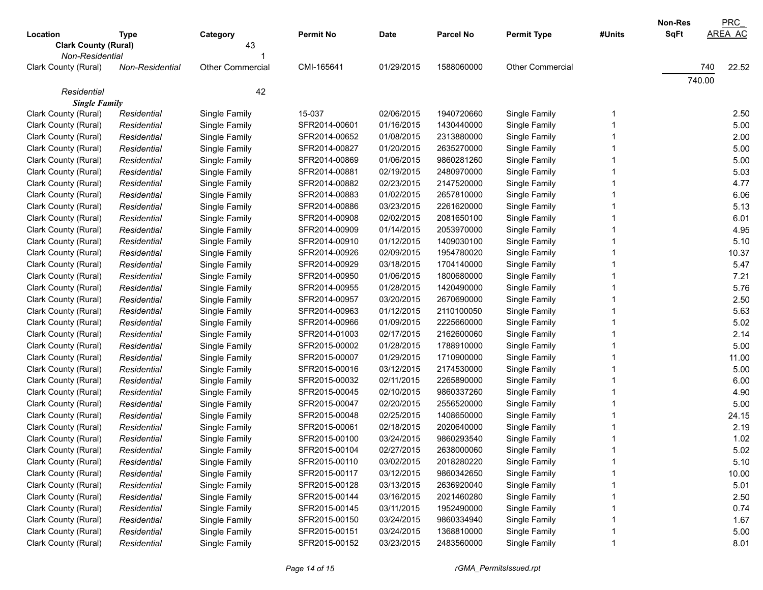| Location                                       | <b>Type</b>     | Category                | <b>Permit No</b> | <b>Date</b> | <b>Parcel No</b> | <b>Permit Type</b>      | #Units | Non-Res<br><b>SqFt</b> | <b>PRC</b><br><b>AREA AC</b> |
|------------------------------------------------|-----------------|-------------------------|------------------|-------------|------------------|-------------------------|--------|------------------------|------------------------------|
| <b>Clark County (Rural)</b><br>Non-Residential |                 | 43                      |                  |             |                  |                         |        |                        |                              |
| Clark County (Rural)                           | Non-Residential | <b>Other Commercial</b> | CMI-165641       | 01/29/2015  | 1588060000       | <b>Other Commercial</b> |        |                        | 740<br>22.52                 |
|                                                |                 |                         |                  |             |                  |                         |        |                        | 740.00                       |
| Residential<br><b>Single Family</b>            |                 | 42                      |                  |             |                  |                         |        |                        |                              |
| Clark County (Rural)                           | Residential     | Single Family           | 15-037           | 02/06/2015  | 1940720660       | Single Family           |        |                        | 2.50                         |
| Clark County (Rural)                           | Residential     | Single Family           | SFR2014-00601    | 01/16/2015  | 1430440000       | Single Family           |        |                        | 5.00                         |
| Clark County (Rural)                           | Residential     | Single Family           | SFR2014-00652    | 01/08/2015  | 2313880000       | Single Family           |        |                        | 2.00                         |
| Clark County (Rural)                           | Residential     | Single Family           | SFR2014-00827    | 01/20/2015  | 2635270000       | Single Family           |        |                        | 5.00                         |
| Clark County (Rural)                           | Residential     | Single Family           | SFR2014-00869    | 01/06/2015  | 9860281260       | Single Family           |        |                        | 5.00                         |
| Clark County (Rural)                           | Residential     | Single Family           | SFR2014-00881    | 02/19/2015  | 2480970000       | Single Family           |        |                        | 5.03                         |
| Clark County (Rural)                           | Residential     | Single Family           | SFR2014-00882    | 02/23/2015  | 2147520000       | Single Family           |        |                        | 4.77                         |
| Clark County (Rural)                           | Residential     | Single Family           | SFR2014-00883    | 01/02/2015  | 2657810000       | Single Family           |        |                        | 6.06                         |
| Clark County (Rural)                           | Residential     | Single Family           | SFR2014-00886    | 03/23/2015  | 2261620000       | Single Family           |        |                        | 5.13                         |
| Clark County (Rural)                           | Residential     | Single Family           | SFR2014-00908    | 02/02/2015  | 2081650100       | Single Family           |        |                        | 6.01                         |
| Clark County (Rural)                           | Residential     | Single Family           | SFR2014-00909    | 01/14/2015  | 2053970000       | Single Family           |        |                        | 4.95                         |
| Clark County (Rural)                           | Residential     | Single Family           | SFR2014-00910    | 01/12/2015  | 1409030100       | Single Family           |        |                        | 5.10                         |
| Clark County (Rural)                           | Residential     | Single Family           | SFR2014-00926    | 02/09/2015  | 1954780020       | Single Family           |        |                        | 10.37                        |
| Clark County (Rural)                           | Residential     | Single Family           | SFR2014-00929    | 03/18/2015  | 1704140000       | Single Family           |        |                        | 5.47                         |
| Clark County (Rural)                           | Residential     | Single Family           | SFR2014-00950    | 01/06/2015  | 1800680000       | Single Family           |        |                        | 7.21                         |
| Clark County (Rural)                           | Residential     | Single Family           | SFR2014-00955    | 01/28/2015  | 1420490000       | Single Family           |        |                        | 5.76                         |
| Clark County (Rural)                           | Residential     | Single Family           | SFR2014-00957    | 03/20/2015  | 2670690000       | Single Family           |        |                        | 2.50                         |
| Clark County (Rural)                           | Residential     | Single Family           | SFR2014-00963    | 01/12/2015  | 2110100050       | Single Family           |        |                        | 5.63                         |
| Clark County (Rural)                           | Residential     | Single Family           | SFR2014-00966    | 01/09/2015  | 2225660000       | Single Family           |        |                        | 5.02                         |
| Clark County (Rural)                           | Residential     | Single Family           | SFR2014-01003    | 02/17/2015  | 2162600060       | Single Family           |        |                        | 2.14                         |
| Clark County (Rural)                           | Residential     | Single Family           | SFR2015-00002    | 01/28/2015  | 1788910000       | Single Family           |        |                        | 5.00                         |
| Clark County (Rural)                           | Residential     | Single Family           | SFR2015-00007    | 01/29/2015  | 1710900000       | Single Family           |        |                        | 11.00                        |
| Clark County (Rural)                           | Residential     | Single Family           | SFR2015-00016    | 03/12/2015  | 2174530000       | Single Family           |        |                        | 5.00                         |
| Clark County (Rural)                           | Residential     | Single Family           | SFR2015-00032    | 02/11/2015  | 2265890000       | Single Family           |        |                        | 6.00                         |
| Clark County (Rural)                           | Residential     | Single Family           | SFR2015-00045    | 02/10/2015  | 9860337260       | Single Family           |        |                        | 4.90                         |
| Clark County (Rural)                           | Residential     | Single Family           | SFR2015-00047    | 02/20/2015  | 2556520000       | Single Family           |        |                        | 5.00                         |
| Clark County (Rural)                           | Residential     | Single Family           | SFR2015-00048    | 02/25/2015  | 1408650000       | Single Family           |        |                        | 24.15                        |
| Clark County (Rural)                           | Residential     | Single Family           | SFR2015-00061    | 02/18/2015  | 2020640000       | Single Family           |        |                        | 2.19                         |
| Clark County (Rural)                           | Residential     | Single Family           | SFR2015-00100    | 03/24/2015  | 9860293540       | Single Family           |        |                        | 1.02                         |
| Clark County (Rural)                           | Residential     | Single Family           | SFR2015-00104    | 02/27/2015  | 2638000060       | Single Family           |        |                        | 5.02                         |
| Clark County (Rural)                           | Residential     | Single Family           | SFR2015-00110    | 03/02/2015  | 2018280220       | Single Family           |        |                        | 5.10                         |
| Clark County (Rural)                           | Residential     | Single Family           | SFR2015-00117    | 03/12/2015  | 9860342650       | Single Family           |        |                        | 10.00                        |
| Clark County (Rural)                           | Residential     | Single Family           | SFR2015-00128    | 03/13/2015  | 2636920040       | Single Family           |        |                        | 5.01                         |
| Clark County (Rural)                           | Residential     | Single Family           | SFR2015-00144    | 03/16/2015  | 2021460280       | Single Family           |        |                        | 2.50                         |
| Clark County (Rural)                           | Residential     | Single Family           | SFR2015-00145    | 03/11/2015  | 1952490000       | Single Family           |        |                        | 0.74                         |
| Clark County (Rural)                           | Residential     | Single Family           | SFR2015-00150    | 03/24/2015  | 9860334940       | Single Family           |        |                        | 1.67                         |
| Clark County (Rural)                           | Residential     | Single Family           | SFR2015-00151    | 03/24/2015  | 1368810000       | Single Family           |        |                        | 5.00                         |
| Clark County (Rural)                           | Residential     | Single Family           | SFR2015-00152    | 03/23/2015  | 2483560000       | Single Family           |        |                        | 8.01                         |